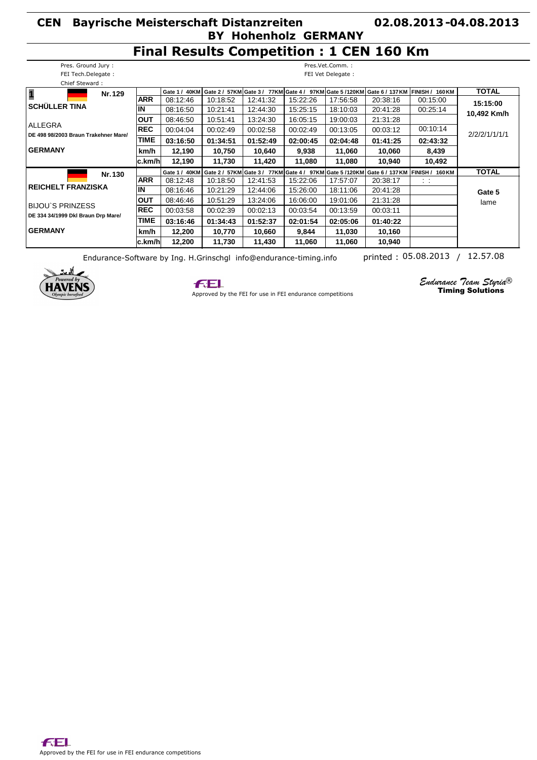### **Final Results Competition : 1 CEN 160 Km**

| Pres. Ground Jury:                   |            |          |          |          |          | Pres.Vet.Comm.:   |          |                                                                                                       |               |
|--------------------------------------|------------|----------|----------|----------|----------|-------------------|----------|-------------------------------------------------------------------------------------------------------|---------------|
| FEI Tech.Delegate:                   |            |          |          |          |          | FEI Vet Delegate: |          |                                                                                                       |               |
| Chief Steward:                       |            |          |          |          |          |                   |          |                                                                                                       |               |
| $\overline{\mathbf{1}}$<br>Nr. 129   |            |          |          |          |          |                   |          | Gate 1 / 40KM Gate 2 / 57KM Gate 3 / 77KM Gate 4 / 97KM Gate 5 /120KM Gate 6 / 137KM FINISH / 160 KM  | <b>TOTAL</b>  |
|                                      | <b>ARR</b> | 08:12:46 | 10:18:52 | 12:41:32 | 15:22:26 | 17.56.58          | 20:38:16 | 00:15:00                                                                                              | 15:15:00      |
| <b>SCHÜLLER TINA</b>                 | İΝ         | 08:16:50 | 10:21:41 | 12:44:30 | 15:25:15 | 18:10:03          | 20:41:28 | 00:25:14                                                                                              | 10,492 Km/h   |
| <b>ALLEGRA</b>                       | <b>OUT</b> | 08:46:50 | 10:51:41 | 13:24:30 | 16:05:15 | 19:00:03          | 21:31:28 |                                                                                                       |               |
| DE 498 98/2003 Braun Trakehner Mare/ | <b>REC</b> | 00:04:04 | 00:02:49 | 00:02:58 | 00:02:49 | 00:13:05          | 00:03:12 | 00:10:14                                                                                              | 2/2/2/1/1/1/1 |
|                                      | TIME       | 03:16:50 | 01:34:51 | 01:52:49 | 02:00:45 | 02:04:48          | 01:41:25 | 02:43:32                                                                                              |               |
| <b>GERMANY</b>                       | km/h       | 12,190   | 10,750   | 10,640   | 9,938    | 11,060            | 10,060   | 8,439                                                                                                 |               |
|                                      | lc.km/hl   | 12,190   | 11,730   | 11,420   | 11,080   | 11,080            | 10,940   | 10,492                                                                                                |               |
| Nr.130                               |            |          |          |          |          |                   |          | Gate 1 / 40KM Gate 2 / 57KM Gate 3 / 77KM Gate 4 / 97KM Gate 5 /120KM Gate 6 / 137 KM FINISH / 160 KM | <b>TOTAL</b>  |
|                                      | <b>ARR</b> | 08:12:48 | 10:18:50 | 12:41:53 | 15:22:06 | 17:57:07          | 20:38:17 | $\sim$ $\sim$                                                                                         |               |
| <b>REICHELT FRANZISKA</b>            | İΝ         | 08:16:46 | 10:21:29 | 12:44:06 | 15:26:00 | 18.11.06          | 20:41:28 |                                                                                                       | Gate 5        |
| <b>BIJOU'S PRINZESS</b>              | <b>OUT</b> | 08:46:46 | 10:51:29 | 13:24:06 | 16:06:00 | 19:01:06          | 21:31:28 |                                                                                                       | lame          |
| DE 334 34/1999 DkI Braun Drp Mare/   | <b>REC</b> | 00:03:58 | 00:02:39 | 00:02:13 | 00:03:54 | 00:13:59          | 00:03:11 |                                                                                                       |               |
|                                      | TIME       | 03:16:46 | 01:34:43 | 01:52:37 | 02:01:54 | 02:05:06          | 01:40:22 |                                                                                                       |               |
| <b>GERMANY</b>                       | km/h       | 12,200   | 10.770   | 10,660   | 9,844    | 11,030            | 10,160   |                                                                                                       |               |
|                                      | ∣c.km/hl   | 12,200   | 11,730   | 11,430   | 11,060   | 11,060            | 10,940   |                                                                                                       |               |

Endurance-Software by Ing. H.Grinschgl info@endurance-timing.info printed : 05.08.2013 / 12.57.08



**FEL** 

Approved by the FEI for use in FEI endurance competitions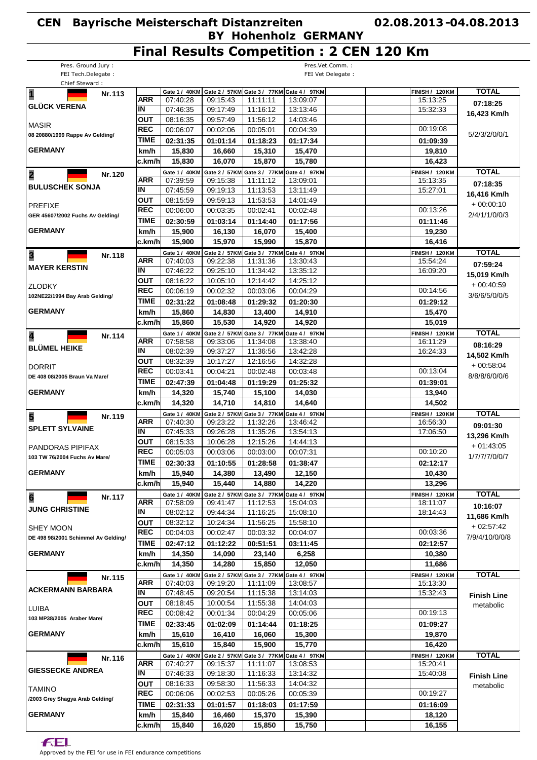# **Final Results Competition : 2 CEN 120 Km**

| Pres. Ground Jury:                  |                |                           |                                                         |                                                       |                  | Pres.Vet.Comm.:                    |                    |
|-------------------------------------|----------------|---------------------------|---------------------------------------------------------|-------------------------------------------------------|------------------|------------------------------------|--------------------|
| FEI Tech.Delegate:                  |                |                           |                                                         |                                                       |                  | FEI Vet Delegate :                 |                    |
| Chief Steward:                      |                |                           |                                                         |                                                       |                  |                                    |                    |
| $\overline{\mathbf{1}}$<br>Nr. 113  |                |                           | Gate 1 / 40KM Gate 2 / 57KM Gate 3 / 77KM Gate 4 / 97KM |                                                       |                  | <b>FINISH / 120 KM</b>             | <b>TOTAL</b>       |
| <b>GLÜCK VERENA</b>                 | <b>ARR</b>     | 07:40:28                  | 09:15:43                                                | 11:11:11                                              | 13:09:07         | 15:13:25                           | 07:18:25           |
|                                     | IN             | 07:46:35                  | 09:17:49                                                | 11:16:12                                              | 13:13:46         | 15:32:33                           | 16,423 Km/h        |
| <b>MASIR</b>                        | ουτ            | 08:16:35                  | 09:57:49                                                | 11:56:12                                              | 14:03:46         |                                    |                    |
| 08 20880/1999 Rappe Av Gelding/     | <b>REC</b>     | 00:06:07                  | 00:02:06                                                | 00:05:01                                              | 00:04:39         | 00:19:08                           | 5/2/3/2/0/0/1      |
|                                     | <b>TIME</b>    | 02:31:35                  | 01:01:14                                                | 01:18:23                                              | 01:17:34         | 01:09:39                           |                    |
| <b>GERMANY</b>                      | km/h           | 15,830                    | 16,660                                                  | 15,310                                                | 15,470           | 19,810                             |                    |
|                                     | c.km/h         | 15,830                    | 16,070                                                  | 15,870                                                | 15,780           | 16,423                             |                    |
| Nr. 120                             |                | Gate 1 / 40KM             |                                                         | Gate 2 / 57KM Gate 3 / 77KM Gate 4 / 97KM             |                  | <b>FINISH / 120 KM</b>             | <b>TOTAL</b>       |
| 2                                   | <b>ARR</b>     | 07:39:59                  | 09:15:38                                                | 11:11:12                                              | 13:09:01         | 15:13:35                           | 07:18:35           |
| <b>BULUSCHEK SONJA</b>              | ΙN             | 07:45:59                  | 09:19:13                                                | 11:13:53                                              | 13:11:49         | 15:27:01                           |                    |
|                                     | <b>OUT</b>     | 08:15:59                  | 09:59:13                                                | 11:53:53                                              | 14:01:49         |                                    | 16,416 Km/h        |
| <b>PREFIXE</b>                      | <b>REC</b>     | 00:06:00                  | 00:03:35                                                | 00:02:41                                              | 00:02:48         | 00:13:26                           | $+00:00:10$        |
| GER 45607/2002 Fuchs Av Gelding/    | <b>TIME</b>    | 02:30:59                  | 01:03:14                                                | 01:14:40                                              | 01:17:56         | 01:11:46                           | 2/4/1/1/0/0/3      |
| <b>GERMANY</b>                      | km/h           | 15,900                    | 16,130                                                  | 16,070                                                | 15,400           | 19,230                             |                    |
|                                     | c.km/h         | 15,900                    |                                                         |                                                       |                  |                                    |                    |
|                                     |                |                           | 15,970                                                  | 15,990                                                | 15,870           | 16,416                             |                    |
| 3<br>Nr. 118                        | <b>ARR</b>     | Gate 1 / 40KM<br>07:40:03 | 09:22:38                                                | Gate 2 / 57KM Gate 3 / 77KM Gate 4 / 97KM<br>11:31:36 | 13:30:43         | <b>FINISH / 120 KM</b><br>15:54:24 | <b>TOTAL</b>       |
| <b>MAYER KERSTIN</b>                | IN             |                           |                                                         |                                                       |                  |                                    | 07:59:24           |
|                                     |                | 07:46:22                  | 09:25:10                                                | 11:34:42                                              | 13:35:12         | 16:09:20                           | 15,019 Km/h        |
| <b>ZLODKY</b>                       | <b>OUT</b>     | 08:16:22                  | 10:05:10                                                | 12:14:42                                              | 14:25:12         |                                    | $+00:40:59$        |
| 102NE22/1994 Bay Arab Gelding/      | <b>REC</b>     | 00:06:19                  | 00:02:32                                                | 00:03:06                                              | 00:04:29         | 00:14:56                           | 3/6/6/5/0/0/5      |
|                                     | TIME           | 02:31:22                  | 01:08:48                                                | 01:29:32                                              | 01:20:30         | 01:29:12                           |                    |
| <b>GERMANY</b>                      | km/h           | 15,860                    | 14,830                                                  | 13,400                                                | 14,910           | 15,470                             |                    |
|                                     | ∣c.km/h        | 15,860                    | 15,530                                                  | 14,920                                                | 14,920           | 15,019                             |                    |
| $\overline{\mathbf{4}}$<br>Nr.114   |                | Gate 1 / 40KM             |                                                         | Gate 2 / 57KM Gate 3 / 77KM Gate 4 / 97KM             |                  | <b>FINISH / 120 KM</b>             | <b>TOTAL</b>       |
|                                     | <b>ARR</b>     | 07:58:58                  | 09:33:06                                                | 11:34:08                                              | 13:38:40         | 16:11:29                           | 08:16:29           |
| <b>BLÜMEL HEIKE</b>                 | <b>IN</b>      | 08:02:39                  | 09:37:27                                                | 11:36:56                                              | 13:42:28         | 16:24:33                           | 14,502 Km/h        |
|                                     | <b>OUT</b>     | 08:32:39                  | 10:17:27                                                | 12:16:56                                              | 14:32:28         |                                    | $+00:58:04$        |
| <b>DORRIT</b>                       | <b>REC</b>     | 00:03:41                  | 00:04:21                                                | 00:02:48                                              | 00:03:48         | 00:13:04                           |                    |
| DE 408 08/2005 Braun Va Mare/       | <b>TIME</b>    | 02:47:39                  | 01:04:48                                                | 01:19:29                                              | 01:25:32         | 01:39:01                           | 8/8/8/6/0/0/6      |
| <b>GERMANY</b>                      | km/h           | 14,320                    | 15,740                                                  | 15,100                                                | 14,030           | 13,940                             |                    |
|                                     | ∣c.km/h        | 14,320                    | 14,710                                                  | 14,810                                                | 14,640           | 14,502                             |                    |
|                                     |                | Gate 1 / 40KM             |                                                         | Gate 2 / 57KM Gate 3 / 77KM Gate 4 / 97KM             |                  | <b>FINISH / 120 KM</b>             | <b>TOTAL</b>       |
| 5<br>Nr. 119                        | <b>ARR</b>     | 07:40:30                  | 09:23:22                                                | 11:32:26                                              | 13:46:42         | 16:56:30                           |                    |
| <b>SPLETT SYLVAINE</b>              | IN             | 07:45:33                  | 09:26:28                                                | 11:35:26                                              | 13:54:13         | 17:06:50                           | 09:01:30           |
|                                     | <b>OUT</b>     | 08:15:33                  | 10:06:28                                                | 12:15:26                                              | 14:44:13         |                                    | 13,296 Km/h        |
| PANDORAS PIPIFAX                    | <b>REC</b>     | 00:05:03                  | 00:03:06                                                | 00:03:00                                              | 00:07:31         | 00:10:20                           | $+01:43:05$        |
| 103 TW 76/2004 Fuchs Av Mare/       | <b>TIME</b>    | 02:30:33                  | 01:10:55                                                | 01:28:58                                              | 01:38:47         | 02:12:17                           | 1/7/7/7/0/0/7      |
| <b>GERMANY</b>                      |                |                           |                                                         |                                                       |                  |                                    |                    |
|                                     | km/h           | 15,940                    | 14,380                                                  | 13,490                                                | 12,150           | 10,430                             |                    |
|                                     | c.km/h         | 15,940                    | 15,440                                                  | 14,880                                                | 14,220           | 13,296                             |                    |
| $6\phantom{a}$<br>Nr. 117           |                |                           | Gate 1 / 40KM Gate 2 / 57KM Gate 3 / 77KM Gate 4 / 97KM |                                                       |                  | <b>FINISH / 120 KM</b>             | <b>TOTAL</b>       |
| <b>JUNG CHRISTINE</b>               | ARR            | 07:58:09                  | 09:41:47                                                | 11:12:53                                              | 15:04:03         | 18:11:07                           | 10:16:07           |
|                                     | IN             | 08:02:12                  | 09:44:34                                                | 11:16:25                                              | 15:08:10         | 18:14:43                           | 11,686 Km/h        |
| SHEY MOON                           | OUT            | 08:32:12                  | 10:24:34                                                | 11:56:25                                              | 15:58:10         |                                    | $+02:57:42$        |
| DE 498 98/2001 Schimmel Av Gelding/ | <b>REC</b>     | 00:04:03                  | 00:02:47                                                | 00:03:32                                              | 00:04:07         | 00:03:36                           | 7/9/4/10/0/0/8     |
|                                     | <b>TIME</b>    | 02:47:12                  | 01:12:22                                                | 00:51:51                                              | 03:11:45         | 02:12:57                           |                    |
| <b>GERMANY</b>                      | km/h           | 14,350                    | 14,090                                                  | 23,140                                                | 6,258            | 10,380                             |                    |
|                                     | c.km/h         | 14,350                    | 14,280                                                  | 15,850                                                | 12,050           | 11,686                             |                    |
| Nr. 115                             |                | Gate 1 / 40KM             |                                                         | Gate 2 / 57KM Gate 3 / 77KM Gate 4 / 97KM             |                  | <b>FINISH / 120 KM</b>             | <b>TOTAL</b>       |
|                                     | <b>ARR</b>     | 07:40:03                  | 09:19:20                                                | 11:11:09                                              | 13:08:57         | 15:13:30                           |                    |
| <b>ACKERMANN BARBARA</b>            | IN             | 07:48:45                  | 09:20:54                                                | 11:15:38                                              | 13:14:03         | 15:32:43                           | <b>Finish Line</b> |
|                                     | <b>OUT</b>     | 08:18:45                  | 10:00:54                                                | 11:55:38                                              | 14:04:03         |                                    | metabolic          |
| LUIBA                               | <b>REC</b>     | 00:08:42                  | 00:01:34                                                | 00:04:29                                              | 00:05:06         | 00:19:13                           |                    |
| 103 MP38/2005 Araber Mare/          | TIME           | 02:33:45                  | 01:02:09                                                | 01:14:44                                              | 01:18:25         | 01:09:27                           |                    |
| <b>GERMANY</b>                      | km/h           | 15,610                    | 16,410                                                  | 16,060                                                | 15,300           | 19,870                             |                    |
|                                     | ∣c.km/h        | 15,610                    | 15,840                                                  | 15,900                                                | 15,770           | 16,420                             |                    |
|                                     |                | Gate 1 / 40KM             | Gate 2 / 57KM Gate 3 / 77KM Gate 4 / 97KM               |                                                       |                  | <b>FINISH / 120 KM</b>             | <b>TOTAL</b>       |
| Nr. 116                             | <b>ARR</b>     | 07:40:27                  | 09:15:37                                                | 11:11:07                                              | 13:08:53         | 15:20:41                           |                    |
| <b>GIESSECKE ANDREA</b>             | IN             | 07:46:33                  | 09:18:30                                                | 11:16:33                                              | 13:14:32         | 15:40:08                           | <b>Finish Line</b> |
|                                     | <b>OUT</b>     | 08:16:33                  | 09:58:30                                                | 11:56:33                                              | 14:04:32         |                                    |                    |
| TAMINO                              | <b>REC</b>     | 00:06:06                  | 00:02:53                                                | 00:05:26                                              | 00:05:39         | 00:19:27                           | metabolic          |
| /2003 Grey Shagya Arab Gelding/     |                |                           |                                                         |                                                       |                  |                                    |                    |
|                                     |                |                           |                                                         |                                                       |                  |                                    |                    |
|                                     | <b>TIME</b>    | 02:31:33                  | 01:01:57                                                | 01:18:03                                              | 01:17:59         | 01:16:09                           |                    |
| <b>GERMANY</b>                      | km/h<br>c.km/h | 15,840<br>15,840          | 16,460<br>16,020                                        | 15,370<br>15,850                                      | 15,390<br>15,750 | 18,120<br>16,155                   |                    |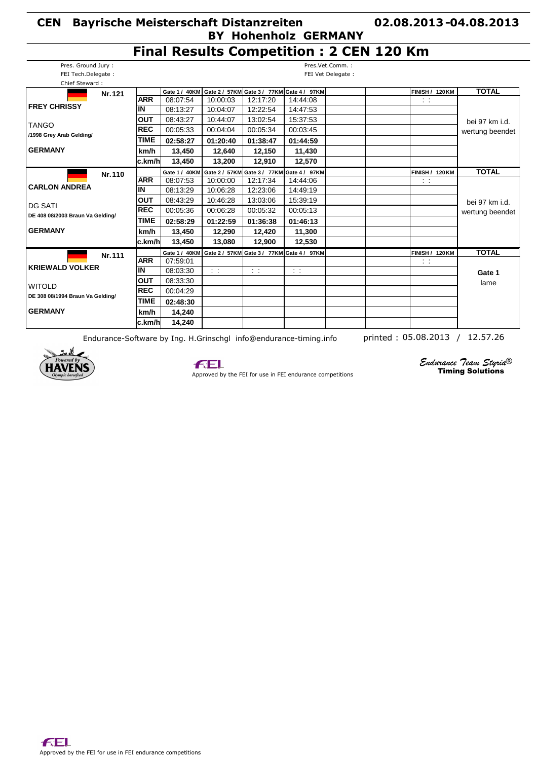### **Final Results Competition : 2 CEN 120 Km**

| Pres. Ground Jury:               |             |               |               |               |                                           | Pres.Vet.Comm.:    |                        |                 |
|----------------------------------|-------------|---------------|---------------|---------------|-------------------------------------------|--------------------|------------------------|-----------------|
| FEI Tech.Delegate:               |             |               |               |               |                                           | FEI Vet Delegate : |                        |                 |
| Chief Steward:                   |             |               |               |               |                                           |                    |                        |                 |
|                                  | Nr. 121     | Gate 1 / 40KM |               |               | Gate 2 / 57KM Gate 3 / 77KM Gate 4 / 97KM |                    | FINISH / 120 KM        | <b>TOTAL</b>    |
|                                  | <b>ARR</b>  | 08:07:54      | 10:00:03      | 12:17:20      | 14:44:08                                  |                    | $\sim$                 |                 |
| <b>FREY CHRISSY</b>              | IN          | 08:13:27      | 10:04:07      | 12:22:54      | 14:47:53                                  |                    |                        |                 |
|                                  | <b>OUT</b>  | 08:43:27      | 10:44:07      | 13:02:54      | 15:37:53                                  |                    |                        | bei 97 km i.d.  |
| <b>TANGO</b>                     | <b>REC</b>  | 00:05:33      | 00:04:04      | 00:05:34      | 00:03:45                                  |                    |                        | wertung beendet |
| /1998 Grey Arab Gelding/         | <b>TIME</b> | 02:58:27      | 01:20:40      | 01:38:47      | 01:44:59                                  |                    |                        |                 |
| <b>GERMANY</b>                   | km/h        | 13,450        | 12,640        | 12,150        | 11,430                                    |                    |                        |                 |
|                                  | lc.km/hl    | 13,450        | 13,200        | 12,910        | 12,570                                    |                    |                        |                 |
|                                  | Nr. 110     | Gate 1 / 40KM |               |               | Gate 2 / 57KM Gate 3 / 77KM Gate 4 / 97KM |                    | <b>FINISH / 120 KM</b> | <b>TOTAL</b>    |
|                                  | <b>ARR</b>  | 08:07:53      | 10:00:00      | 12:17:34      | 14:44:06                                  |                    | $\sim$ 1               |                 |
| <b>CARLON ANDREA</b>             | <b>IN</b>   | 08:13:29      | 10:06:28      | 12:23:06      | 14:49:19                                  |                    |                        |                 |
| <b>DG SATI</b>                   | <b>OUT</b>  | 08:43:29      | 10:46:28      | 13:03:06      | 15:39:19                                  |                    |                        | bei 97 km i.d.  |
| DE 408 08/2003 Braun Va Gelding/ | <b>REC</b>  | 00:05:36      | 00:06:28      | 00:05:32      | 00:05:13                                  |                    |                        | wertung beendet |
|                                  | <b>TIME</b> | 02:58:29      | 01:22:59      | 01:36:38      | 01:46:13                                  |                    |                        |                 |
| <b>GERMANY</b>                   | km/h        | 13,450        | 12,290        | 12,420        | 11,300                                    |                    |                        |                 |
|                                  | lc.km/hl    | 13,450        | 13,080        | 12,900        | 12,530                                    |                    |                        |                 |
|                                  | Nr. 111     | Gate 1 / 40KM |               |               | Gate 2 / 57KM Gate 3 / 77KM Gate 4 / 97KM |                    | <b>FINISH / 120 KM</b> | <b>TOTAL</b>    |
|                                  | <b>ARR</b>  | 07:59:01      |               |               |                                           |                    | $\sim$ $\sim$          |                 |
| <b>KRIEWALD VOLKER</b>           | İΝ          | 08:03:30      | $\sim$ $\sim$ | $\sim$ $\sim$ | $\sim$                                    |                    |                        | Gate 1          |
| <b>WITOLD</b>                    | lout        | 08:33:30      |               |               |                                           |                    |                        | lame            |
|                                  | <b>REC</b>  | 00:04:29      |               |               |                                           |                    |                        |                 |
| DE 308 08/1994 Braun Va Gelding/ | <b>TIME</b> | 02:48:30      |               |               |                                           |                    |                        |                 |
| <b>GERMANY</b>                   | km/h        | 14,240        |               |               |                                           |                    |                        |                 |
|                                  | c.km/hl     | 14,240        |               |               |                                           |                    |                        |                 |

Endurance-Software by Ing. H.Grinschgl info@endurance-timing.info printed : 05.08.2013 / 12.57.26





Approved by the FEI for use in FEI endurance competitions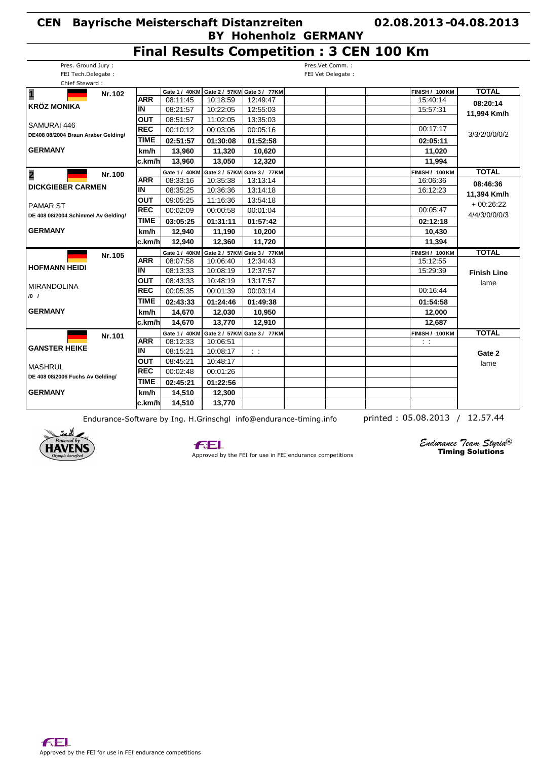### **Final Results Competition : 3 CEN 100 Km**

| Pres. Ground Jury :                 |             |               |          |                             | Pres.Vet.Comm.:    |                        |                            |
|-------------------------------------|-------------|---------------|----------|-----------------------------|--------------------|------------------------|----------------------------|
| FEI Tech.Delegate:                  |             |               |          |                             | FEI Vet Delegate : |                        |                            |
| Chief Steward:                      |             |               |          |                             |                    |                        |                            |
| $\overline{\mathbf{1}}$<br>Nr. 102  |             | Gate 1 / 40KM |          | Gate 2 / 57KM Gate 3 / 77KM |                    | <b>FINISH / 100 KM</b> | <b>TOTAL</b>               |
| <b>KRÖZ MONIKA</b>                  | <b>ARR</b>  | 08:11:45      | 10:18:59 | 12:49:47                    |                    | 15:40:14               | 08:20:14                   |
|                                     | İIN         | 08:21:57      | 10:22:05 | 12:55:03                    |                    | 15:57:31               | 11,994 Km/h                |
| SAMURAI 446                         | <b>OUT</b>  | 08:51:57      | 11:02:05 | 13:35:03                    |                    |                        |                            |
| DE408 08/2004 Braun Araber Gelding/ | <b>REC</b>  | 00:10:12      | 00:03:06 | 00:05:16                    |                    | 00:17:17               | 3/3/2/0/0/0/2              |
|                                     | <b>TIME</b> | 02:51:57      | 01:30:08 | 01:52:58                    |                    | 02:05:11               |                            |
| <b>GERMANY</b>                      | km/h        | 13,960        | 11,320   | 10,620                      |                    | 11,020                 |                            |
|                                     | c.km/h      | 13,960        | 13,050   | 12,320                      |                    | 11,994                 |                            |
| 2<br>Nr. 100                        |             | Gate 1 / 40KM |          | Gate 2 / 57KM Gate 3 / 77KM |                    | <b>FINISH / 100 KM</b> | <b>TOTAL</b>               |
|                                     | <b>ARR</b>  | 08:33:16      | 10:35:38 | 13:13:14                    |                    | 16:06:36               | 08:46:36                   |
| <b>DICKGIEßER CARMEN</b>            | IN          | 08:35:25      | 10:36:36 | 13:14:18                    |                    | 16:12:23               |                            |
|                                     | <b>OUT</b>  | 09:05:25      | 11:16:36 | 13:54:18                    |                    |                        | 11,394 Km/h<br>$+00:26:22$ |
| <b>PAMAR ST</b>                     | <b>REC</b>  | 00:02:09      | 00:00:58 | 00:01:04                    |                    | 00:05:47               |                            |
| DE 408 08/2004 Schimmel Av Gelding/ | <b>TIME</b> | 03:05:25      | 01:31:11 | 01:57:42                    |                    | 02:12:18               | 4/4/3/0/0/0/3              |
| <b>GERMANY</b>                      | km/h        | 12,940        | 11,190   | 10,200                      |                    | 10,430                 |                            |
|                                     | c.km/h      | 12,940        | 12,360   | 11,720                      |                    | 11,394                 |                            |
| Nr. 105                             |             | Gate 1 / 40KM |          | Gate 2 / 57KM Gate 3 / 77KM |                    | <b>FINISH / 100 KM</b> | <b>TOTAL</b>               |
|                                     | <b>ARR</b>  | 08:07:58      | 10:06:40 | 12:34:43                    |                    | 15:12:55               |                            |
| <b>HOFMANN HEIDI</b>                | ĪΝ          | 08:13:33      | 10:08:19 | 12:37:57                    |                    | 15:29:39               | <b>Finish Line</b>         |
|                                     | <b>OUT</b>  | 08:43:33      | 10:48:19 | 13:17:57                    |                    |                        | lame                       |
| <b>MIRANDOLINA</b>                  | <b>REC</b>  | 00:05:35      | 00:01:39 | 00:03:14                    |                    | 00:16:44               |                            |
| $10-1$                              | <b>TIME</b> | 02:43:33      | 01:24:46 | 01:49:38                    |                    | 01:54:58               |                            |
| <b>GERMANY</b>                      | km/h        | 14,670        | 12,030   | 10,950                      |                    | 12,000                 |                            |
|                                     | c.km/h      | 14,670        | 13.770   | 12,910                      |                    | 12,687                 |                            |
| Nr. 101                             |             | Gate 1 / 40KM |          | Gate 2 / 57KM Gate 3 / 77KM |                    | <b>FINISH / 100 KM</b> | <b>TOTAL</b>               |
| <b>GANSTER HEIKE</b>                | <b>ARR</b>  | 08:12:33      | 10:06:51 |                             |                    | $\sim 1$               |                            |
|                                     | IN          | 08:15:21      | 10:08:17 | $\sim 10$                   |                    |                        | Gate 2                     |
|                                     | <b>OUT</b>  | 08:45:21      | 10:48:17 |                             |                    |                        | lame                       |
| <b>MASHRUL</b>                      | <b>REC</b>  | 00:02:48      | 00:01:26 |                             |                    |                        |                            |
| DE 408 08/2006 Fuchs Av Gelding/    | <b>TIME</b> | 02:45:21      | 01:22:56 |                             |                    |                        |                            |
| <b>GERMANY</b>                      | km/h        | 14,510        | 12,300   |                             |                    |                        |                            |
|                                     | c.km/h      | 14,510        | 13,770   |                             |                    |                        |                            |
|                                     |             |               |          |                             |                    |                        |                            |

Endurance-Software by Ing. H.Grinschgl info@endurance-timing.info printed : 05.08.2013 / 12.57.44



#### **FEL**

Approved by the FEI for use in FEI endurance competitions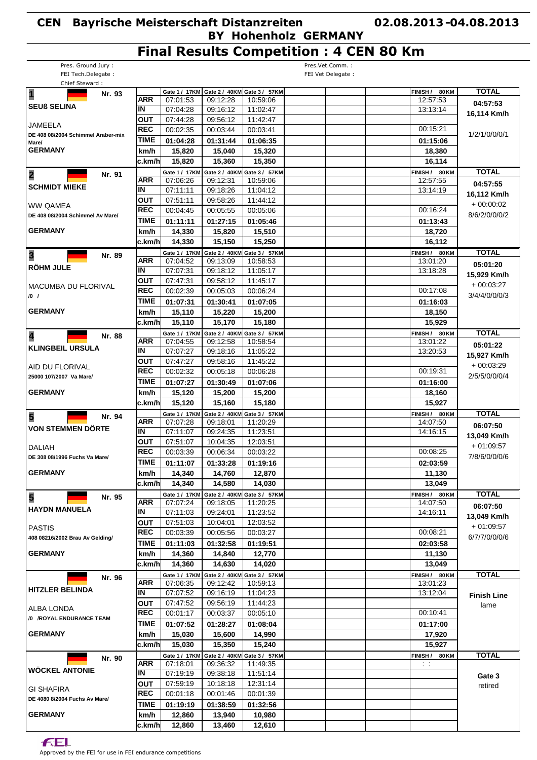# **Final Results Competition : 4 CEN 80 Km**

| Pres. Ground Jury:                 |                          |                           |                                           |                                           | Pres.Vet.Comm.:    |                            |                    |
|------------------------------------|--------------------------|---------------------------|-------------------------------------------|-------------------------------------------|--------------------|----------------------------|--------------------|
| FEI Tech.Delegate:                 |                          |                           |                                           |                                           | FEI Vet Delegate : |                            |                    |
| Chief Steward:                     |                          |                           |                                           |                                           |                    |                            |                    |
| $\overline{\mathbf{1}}$<br>Nr. 93  |                          |                           | Gate 1 / 17KM Gate 2 / 40KM Gate 3 / 57KM |                                           |                    | FINISH /<br>80 KM          | <b>TOTAL</b>       |
| <b>SEUß SELINA</b>                 | <b>ARR</b>               | 07:01:53                  | 09:12:28                                  | 10:59:06                                  |                    | 12:57:53                   | 04:57:53           |
|                                    | IN                       | 07:04:28                  | 09:16:12                                  | 11:02:47                                  |                    | 13:13:14                   | 16,114 Km/h        |
| JAMEELA                            | ΟUΤ                      | 07:44:28                  | 09:56:12                                  | 11:42:47                                  |                    |                            |                    |
| DE 408 08/2004 Schimmel Araber-mix | <b>REC</b>               | 00:02:35                  | 00:03:44                                  | 00:03:41                                  |                    | 00:15:21                   | 1/2/1/0/0/0/1      |
| Mare/                              | <b>TIME</b>              | 01:04:28                  | 01:31:44                                  | 01:06:35                                  |                    | 01:15:06                   |                    |
| <b>GERMANY</b>                     | km/h                     | 15,820                    | 15,040                                    | 15,320                                    |                    | 18,380                     |                    |
|                                    | c.km/h                   | 15,820                    | 15,360                                    | 15,350                                    |                    | 16,114                     |                    |
| $\overline{\mathbf{2}}$<br>Nr. 91  |                          | Gate 1 / 17KM             |                                           | Gate 2 / 40KM Gate 3 / 57KM               |                    | FINISH /<br><b>80 KM</b>   | <b>TOTAL</b>       |
| <b>SCHMIDT MIEKE</b>               | <b>ARR</b>               | 07:06:26                  | 09:12:31                                  | 10:59:06                                  |                    | 12:57:55                   | 04:57:55           |
|                                    | ΙN                       | 07:11:11                  | 09:18:26                                  | 11:04:12                                  |                    | 13:14:19                   | 16,112 Km/h        |
| WW QAMEA                           | <b>OUT</b>               | 07:51:11                  | 09:58:26                                  | 11:44:12                                  |                    |                            | $+00:00:02$        |
| DE 408 08/2004 Schimmel Av Mare/   | <b>REC</b>               | 00:04:45                  | 00:05:55                                  | 00:05:06                                  |                    | 00:16:24                   | 8/6/2/0/0/0/2      |
|                                    | <b>TIME</b>              | 01:11:11                  | 01:27:15                                  | 01:05:46                                  |                    | 01:13:43                   |                    |
| <b>GERMANY</b>                     | km/h                     | 14,330                    | 15,820                                    | 15,510                                    |                    | 18,720                     |                    |
|                                    | c.km/h                   | 14.330                    | 15,150                                    | 15,250                                    |                    | 16,112                     |                    |
| 3<br>Nr. 89                        |                          | Gate 1 / 17KM             |                                           | Gate 2 / 40KM Gate 3 / 57KM               |                    | FINISH / 80 KM             | <b>TOTAL</b>       |
|                                    | <b>ARR</b>               | 07:04:52                  | 09:13:09                                  | 10:58:53                                  |                    | 13:01:20                   | 05:01:20           |
| <b>RÖHM JULE</b>                   | IN                       | 07:07:31                  | 09:18:12                                  | 11:05:17                                  |                    | 13:18:28                   | 15,929 Km/h        |
|                                    | <b>OUT</b>               | 07:47:31                  | 09:58:12                                  | 11:45:17                                  |                    |                            |                    |
| MACUMBA DU FLORIVAL                | <b>REC</b>               | 00:02:39                  | 00:05:03                                  | 00:06:24                                  |                    | 00:17:08                   | $+00:03:27$        |
| $/0$ /                             | <b>TIME</b>              | 01:07:31                  | 01:30:41                                  | 01:07:05                                  |                    | 01:16:03                   | 3/4/4/0/0/0/3      |
| <b>GERMANY</b>                     | km/h                     | 15,110                    | 15,220                                    | 15,200                                    |                    | 18,150                     |                    |
|                                    | c.km/h                   | 15,110                    | 15,170                                    | 15,180                                    |                    | 15,929                     |                    |
|                                    |                          | Gate 1 / 17KM             | Gate 2 / 40KM Gate 3 / 57KM               |                                           |                    |                            | <b>TOTAL</b>       |
| 4<br>Nr. 88                        | <b>ARR</b>               | 07:04:55                  | 09:12:58                                  | 10:58:54                                  |                    | FINISH / 80 KM<br>13:01:22 |                    |
| <b>KLINGBEIL URSULA</b>            | ΙN                       | 07:07:27                  | 09:18:16                                  | 11:05:22                                  |                    | 13:20:53                   | 05:01:22           |
|                                    | <b>OUT</b>               | 07:47:27                  | 09:58:16                                  | 11:45:22                                  |                    |                            | 15,927 Km/h        |
| AID DU FLORIVAL                    | <b>REC</b>               | 00:02:32                  | 00:05:18                                  | 00:06:28                                  |                    | 00:19:31                   | $+00:03:29$        |
| 25000 107/2007 Va Mare/            | <b>TIME</b>              | 01:07:27                  | 01:30:49                                  | 01:07:06                                  |                    |                            | 2/5/5/0/0/0/4      |
| <b>GERMANY</b>                     |                          |                           |                                           |                                           |                    | 01:16:00                   |                    |
|                                    | km/h                     | 15,120                    | 15,200                                    | 15,200                                    |                    | 18,160                     |                    |
|                                    | c.km/h                   | 15,120                    | 15,160                                    | 15,180                                    |                    | 15,927                     |                    |
| 5<br>Nr. 94                        | <b>ARR</b>               | Gate 1 / 17KM<br>07:07:28 |                                           | Gate 2 / 40KM Gate 3 / 57KM               |                    | FINISH / 80 KM             | <b>TOTAL</b>       |
| <b>VON STEMMEN DÖRTE</b>           | ΙN                       | 07:11:07                  | 09:18:01<br>09:24:35                      | 11:20:29<br>11:23:51                      |                    | 14:07:50<br>14:16:15       | 06:07:50           |
|                                    |                          | 07:51:07                  |                                           |                                           |                    |                            | 13,049 Km/h        |
| <b>DALIAH</b>                      | <b>OUT</b><br><b>REC</b> |                           | 10:04:35                                  | 12:03:51                                  |                    | 00:08:25                   | $+01:09:57$        |
| DE 308 08/1996 Fuchs Va Mare/      |                          | 00:03:39                  | 00:06:34                                  | 00:03:22                                  |                    |                            | 7/8/6/0/0/0/6      |
|                                    | <b>TIME</b>              | 01:11:07                  | 01:33:28                                  | 01:19:16                                  |                    | 02:03:59                   |                    |
| <b>GERMANY</b>                     | km/h                     | 14,340                    | 14,760                                    | 12,870                                    |                    | 11,130                     |                    |
|                                    | c.km/h                   | 14,340                    | 14.580                                    | 14,030                                    |                    | 13,049                     |                    |
| 5<br>Nr. 95                        |                          |                           |                                           | Gate 1 / 17KM Gate 2 / 40KM Gate 3 / 57KM |                    | FINISH / 80 KM             | <b>TOTAL</b>       |
| <b>HAYDN MANUELA</b>               | <b>ARR</b>               | 07:07:24                  | 09:18:05                                  | 11:20:25                                  |                    | 14:07:50                   | 06:07:50           |
|                                    | IN                       | 07:11:03                  | 09:24:01                                  | 11:23:52                                  |                    | 14:16:11                   | 13,049 Km/h        |
| <b>PASTIS</b>                      | <b>OUT</b>               | 07:51:03                  | 10:04:01                                  | 12:03:52                                  |                    |                            | + 01:09:57         |
| 408 08216/2002 Brau Av Gelding/    | <b>REC</b>               | 00:03:39                  | 00:05:56                                  | 00:03:27                                  |                    | 00:08:21                   | 6/7/7/0/0/0/6      |
|                                    | <b>TIME</b>              | 01:11:03                  | 01:32:58                                  | 01:19:51                                  |                    | 02:03:58                   |                    |
| <b>GERMANY</b>                     | km/h                     | 14,360                    | 14,840                                    | 12,770                                    |                    | 11,130                     |                    |
|                                    | c.km/hl                  | 14,360                    | 14,630                                    | 14,020                                    |                    | 13,049                     |                    |
| Nr. 96                             |                          | Gate 1 / 17KM             |                                           | Gate 2 / 40KM Gate 3 / 57KM               |                    | FINISH / 80 KM             | <b>TOTAL</b>       |
| <b>HITZLER BELINDA</b>             | <b>ARR</b>               | 07:06:35                  | 09:12:42                                  | 10:59:13                                  |                    | 13:01:23                   |                    |
|                                    | IN                       | 07:07:52                  | 09:16:19                                  | 11:04:23                                  |                    | 13:12:04                   | <b>Finish Line</b> |
| ALBA LONDA                         | <b>OUT</b>               | 07:47:52                  | 09:56:19                                  | 11:44:23                                  |                    |                            | lame               |
| /0 /ROYAL ENDURANCE TEAM           | <b>REC</b>               | 00:01:17                  | 00:03:37                                  | 00:05:10                                  |                    | 00:10:41                   |                    |
|                                    | <b>TIME</b>              | 01:07:52                  | 01:28:27                                  | 01:08:04                                  |                    | 01:17:00                   |                    |
| <b>GERMANY</b>                     | km/h                     | 15,030                    | 15,600                                    | 14,990                                    |                    | 17,920                     |                    |
|                                    | c.km/hl                  | 15,030                    | 15,350                                    | 15,240                                    |                    | 15,927                     |                    |
|                                    |                          | Gate 1 / 17KM             |                                           | Gate 2 / 40KM Gate 3 / 57KM               |                    | FINISH / 80 KM             | <b>TOTAL</b>       |
| Nr. 90                             | ARR                      | 07:18:01                  | 09:36:32                                  | 11:49:35                                  |                    | $\sim$ 1                   |                    |
| <b>WOCKEL ANTONIE</b>              | IN                       | 07:19:19                  | 09:38:18                                  | 11:51:14                                  |                    |                            | Gate 3             |
|                                    | <b>OUT</b>               | 07:59:19                  | 10:18:18                                  | 12:31:14                                  |                    |                            | retired            |
| GI SHAFIRA                         | <b>REC</b>               | 00:01:18                  | 00:01:46                                  | 00:01:39                                  |                    |                            |                    |
| DE 4080 8/2004 Fuchs Av Mare/      | <b>TIME</b>              | 01:19:19                  | 01:38:59                                  | 01:32:56                                  |                    |                            |                    |
| <b>GERMANY</b>                     | km/h                     | 12,860                    | 13,940                                    | 10,980                                    |                    |                            |                    |
|                                    | ∣c.km/h∣                 | 12,860                    | 13,460                                    | 12,610                                    |                    |                            |                    |
|                                    |                          |                           |                                           |                                           |                    |                            |                    |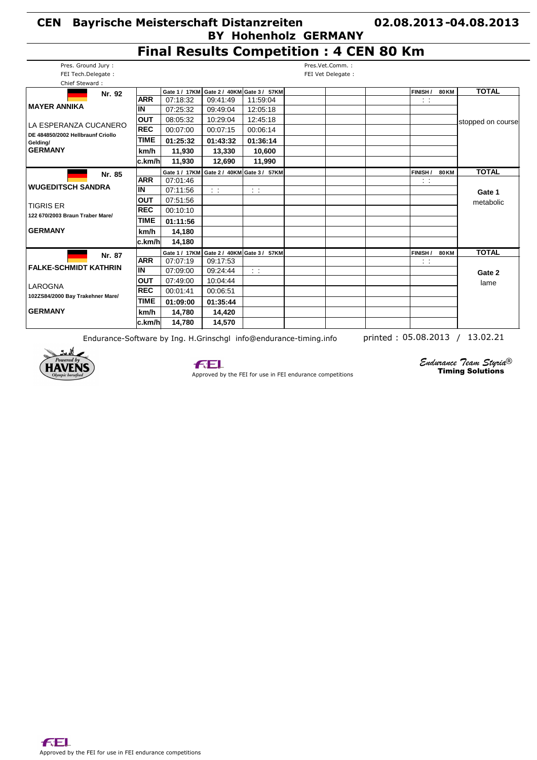## **Final Results Competition : 4 CEN 80 Km**

| Pres. Ground Jury:                |                                   |               |               |                             | Pres.Vet.Comm.:    |                 |              |                   |
|-----------------------------------|-----------------------------------|---------------|---------------|-----------------------------|--------------------|-----------------|--------------|-------------------|
| FEI Tech.Delegate:                |                                   |               |               |                             | FEI Vet Delegate : |                 |              |                   |
| Chief Steward:                    |                                   |               |               |                             |                    |                 |              |                   |
| Nr. 92                            |                                   | Gate 1 / 17KM |               | Gate 2 / 40KM Gate 3 / 57KM |                    | <b>FINISH</b> / | <b>80 KM</b> | <b>TOTAL</b>      |
|                                   | <b>ARR</b>                        | 07:18:32      | 09:41:49      | 11:59:04                    |                    | $\sim$ 1        |              |                   |
| <b>MAYER ANNIKA</b>               | IN                                | 07:25:32      | 09:49:04      | 12:05:18                    |                    |                 |              |                   |
| LA ESPERANZA CUCANERO             | <b>OUT</b>                        | 08:05:32      | 10:29:04      | 12:45:18                    |                    |                 |              | stopped on course |
| DE 484850/2002 Hellbraunf Criollo | <b>REC</b>                        | 00:07:00      | 00:07:15      | 00:06:14                    |                    |                 |              |                   |
| Gelding/                          | <b>TIME</b>                       | 01:25:32      | 01:43:32      | 01:36:14                    |                    |                 |              |                   |
| <b>GERMANY</b>                    | km/h                              | 11,930        | 13,330        | 10,600                      |                    |                 |              |                   |
|                                   | lc.km/hl                          | 11,930        | 12,690        | 11,990                      |                    |                 |              |                   |
| Nr. 85                            |                                   | Gate 1 / 17KM |               | Gate 2 / 40KM Gate 3 / 57KM |                    | FINISH /        | <b>80 KM</b> | <b>TOTAL</b>      |
|                                   | <b>ARR</b>                        | 07:01:46      |               |                             |                    | $\sim$          |              |                   |
| <b>WUGEDITSCH SANDRA</b>          | <b>IN</b>                         | 07:11:56      | $\sim$ $\sim$ | $\sim$ $\sim$               |                    |                 |              | Gate 1            |
| <b>TIGRIS ER</b>                  | <b>OUT</b>                        | 07:51:56      |               |                             |                    |                 |              | metabolic         |
| 122 670/2003 Braun Traber Mare/   | <b>REC</b>                        | 00:10:10      |               |                             |                    |                 |              |                   |
|                                   | <b>TIME</b>                       | 01:11:56      |               |                             |                    |                 |              |                   |
| <b>GERMANY</b>                    | km/h                              | 14,180        |               |                             |                    |                 |              |                   |
|                                   | lc.km/hl                          | 14,180        |               |                             |                    |                 |              |                   |
| Nr. 87                            |                                   | Gate 1 / 17KM |               | Gate 2 / 40KM Gate 3 / 57KM |                    | <b>FINISH /</b> | <b>80 KM</b> | <b>TOTAL</b>      |
|                                   | <b>ARR</b>                        | 07:07:19      | 09:17:53      |                             |                    | $\sim$ 1        |              |                   |
| <b>FALKE-SCHMIDT KATHRIN</b>      | $\overline{\mathsf{I}\mathsf{N}}$ | 07:09:00      | 09:24:44      | $\sim$                      |                    |                 |              | Gate 2            |
| LAROGNA                           | <b>OUT</b>                        | 07:49:00      | 10:04:44      |                             |                    |                 |              | lame              |
|                                   | <b>REC</b>                        | 00:01:41      | 00:06:51      |                             |                    |                 |              |                   |
| 102ZS84/2000 Bay Trakehner Mare/  | <b>TIME</b>                       | 01:09:00      | 01:35:44      |                             |                    |                 |              |                   |
| <b>GERMANY</b>                    | km/h                              | 14,780        | 14,420        |                             |                    |                 |              |                   |
|                                   | lc.km/hl                          | 14,780        | 14,570        |                             |                    |                 |              |                   |

Endurance-Software by Ing. H.Grinschgl info@endurance-timing.info printed : 05.08.2013 / 13.02.21





Approved by the FEI for use in FEI endurance competitions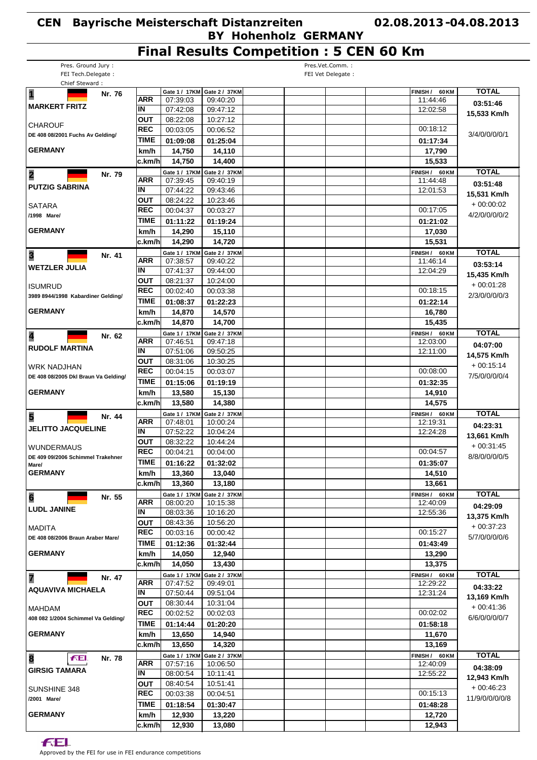## **Final Results Competition : 5 CEN 60 Km**

| Gate 1 / 17KM Gate 2 / 37KM<br>FINISH /<br>$\overline{\mathbf{1}}$<br>Nr. 76     | <b>TOTAL</b><br>60 KM            |
|----------------------------------------------------------------------------------|----------------------------------|
| <b>ARR</b><br>07:39:03<br>09:40:20<br><b>MARKERT FRITZ</b>                       | 11:44:46<br>03:51:46             |
| IN<br>07:42:08<br>09:47:12                                                       | 12:02:58<br>15,533 Km/h          |
| <b>OUT</b><br>08:22:08<br>10:27:12<br><b>CHAROUF</b>                             |                                  |
| <b>REC</b><br>00:03:05<br>00:06:52<br>DE 408 08/2001 Fuchs Av Gelding/           | 00:18:12<br>3/4/0/0/0/0/1        |
| TIME<br>01:09:08<br>01:25:04                                                     | 01:17:34                         |
| <b>GERMANY</b><br>km/h<br>14,750<br>14,110                                       | 17,790                           |
| 14,750<br>c.km/h<br>14,400                                                       | 15,533                           |
| Gate 1 / 17KM Gate 2 / 37KM<br>$\overline{\mathbf{2}}$<br>Nr. 79                 | <b>TOTAL</b><br>FINISH / 60 KM   |
| <b>ARR</b><br>07:39:45<br>09:40:19<br><b>PUTZIG SABRINA</b>                      | 11:44:48<br>03:51:48             |
| IN<br>07:44:22<br>09:43:46                                                       | 12:01:53<br>15,531 Km/h          |
| <b>OUT</b><br>08:24:22<br>10:23:46<br><b>SATARA</b>                              | $+00:00:02$                      |
| <b>REC</b><br>00:04:37<br>00:03:27<br>/1998 Mare/                                | 00:17:05<br>4/2/0/0/0/0/2        |
| TIME<br>01:11:22<br>01:19:24                                                     | 01:21:02                         |
| <b>GERMANY</b><br>km/h<br>14,290<br>15,110                                       | 17,030                           |
| 14,290<br>c.km/h<br>14,720                                                       | 15,531                           |
| Gate 1 / 17KM<br>Gate 2 / 37KM<br>Nr. 41                                         | <b>TOTAL</b><br>FINISH / 60 KM   |
| $\overline{\mathbf{3}}$<br><b>ARR</b><br>07:38:57<br>09:40:22                    | 11:46:14<br>03:53:14             |
| <b>WETZLER JULIA</b><br>IN<br>07:41:37<br>09:44:00                               | 12:04:29                         |
| <b>OUT</b><br>08:21:37<br>10:24:00                                               | 15,435 Km/h                      |
| <b>ISUMRUD</b><br><b>REC</b><br>00:02:40<br>00:03:38                             | $+00:01:28$<br>00:18:15          |
| 3989 8944/1998 Kabardiner Gelding/<br><b>TIME</b><br>01:08:37<br>01:22:23        | 2/3/0/0/0/0/3<br>01:22:14        |
| <b>GERMANY</b><br>km/h<br>14,870<br>14,570                                       | 16,780                           |
|                                                                                  |                                  |
| c.km/h<br>14,870<br>14,700                                                       | 15,435                           |
| Gate 1 / 17KM Gate 2 / 37KM<br>4<br>Nr. 62<br><b>ARR</b><br>07:46:51             | <b>TOTAL</b><br>FINISH / 60 KM   |
| 09:47:18<br><b>RUDOLF MARTINA</b><br>IN<br>07:51:06                              | 12:03:00<br>04:07:00             |
| 09:50:25                                                                         | 12:11:00<br>14,575 Km/h          |
| OUT<br>08:31:06<br>10:30:25<br><b>WRK NADJHAN</b><br><b>REC</b>                  | $+00:15:14$                      |
| 00:04:15<br>00:03:07<br>DE 408 08/2005 Dkl Braun Va Gelding/                     | 00:08:00<br>7/5/0/0/0/0/4        |
|                                                                                  |                                  |
| <b>TIME</b><br>01:15:06<br>01:19:19                                              | 01:32:35                         |
| <b>GERMANY</b><br>km/h<br>13,580<br>15,130                                       | 14,910                           |
| c.km/h<br>13,580<br>14,380                                                       | 14,575                           |
| Gate 1 / 17KM Gate 2 / 37KM<br><b>FINISH/</b>                                    | <b>TOTAL</b><br>60 KM            |
| 5<br>Nr. 44<br><b>ARR</b><br>07:48:01<br>10:00:24                                | 12:19:31                         |
| <b>JELITTO JACQUELINE</b><br>ΙN<br>07:52:22<br>10:04:24                          | 04:23:31<br>12:24:28             |
| <b>OUT</b><br>08:32:22<br>10:44:24                                               | 13,661 Km/h                      |
| <b>WUNDERMAUS</b><br><b>REC</b><br>00:04:21<br>00:04:00                          | $+00:31:45$<br>00:04:57          |
| DE 409 09/2006 Schimmel Trakehner<br><b>TIME</b><br>01:16:22<br>01:32:02         | 8/8/0/0/0/0/5<br>01:35:07        |
| Mare/<br><b>GERMANY</b><br>km/h<br>13,360<br>13,040                              | 14,510                           |
| c.km/h<br>13,360<br>13.180                                                       | 13,661                           |
| Gate 2 / 37KM                                                                    |                                  |
| Gate 1 / 17KM<br>$6\overline{6}$<br>Nr. 55<br><b>ARR</b><br>08:00:20<br>10:15:38 | <b>TOTAL</b><br>FINISH / 60 KM   |
| <b>LUDL JANINE</b><br>IN<br>08:03:36<br>10:16:20                                 | 12:40:09<br>04:29:09<br>12:55:36 |
| <b>OUT</b><br>08:43:36<br>10:56:20                                               | 13,375 Km/h                      |
| <b>MADITA</b><br><b>REC</b><br>00:03:16                                          | $+00:37:23$<br>00:15:27          |
| 00:00:42<br>DE 408 08/2006 Braun Araber Mare/                                    | 5/7/0/0/0/0/6                    |
| <b>TIME</b><br>01:12:36<br>01:32:44                                              | 01:43:49                         |
| <b>GERMANY</b><br>km/h<br>14,050<br>12,940                                       | 13,290                           |
| 14,050<br>lc.km/hl<br>13,430                                                     | 13,375                           |
| Gate 2 / 37KM<br>Gate 1 / 17KM<br>7<br>Nr. 47                                    | <b>TOTAL</b><br>FINISH / 60 KM   |
| ARR<br>07:47:52<br>09:49:01<br><b>AQUAVIVA MICHAELA</b>                          | 12:29:22<br>04:33:22             |
| IN<br>07:50:44<br>09:51:04                                                       | 12:31:24<br>13,169 Km/h          |
| <b>OUT</b><br>08:30:44<br>10:31:04<br><b>MAHDAM</b>                              | $+00:41:36$                      |
| <b>REC</b><br>00:02:52<br>00:02:03<br>408 082 1/2004 Schimmel Va Gelding/        | 00:02:02<br>6/6/0/0/0/0/7        |
| <b>TIME</b><br>01:14:44<br>01:20:20                                              | 01:58:18                         |
| <b>GERMANY</b><br>km/h<br>13,650<br>14,940                                       | 11,670                           |
| 13,650<br>14,320<br>c.km/h                                                       | 13,169                           |
| Gate 2 / 37KM<br>Gate 1 / 17KM<br>Nr. 78<br>FEI.                                 | <b>TOTAL</b><br>FINISH / 60 KM   |
| 8<br>ARR<br>07:57:16<br>10:06:50                                                 | 12:40:09<br>04:38:09             |
| <b>GIRSIG TAMARA</b><br>IN<br>08:00:54<br>10:11:41                               | 12:55:22<br>12,943 Km/h          |
| 08:40:54<br>OUT<br>10:51:41                                                      | $+00:46:23$                      |
| SUNSHINE 348<br><b>REC</b><br>00:03:38<br>00:04:51                               | 00:15:13                         |
| /2001 Mare/<br><b>TIME</b><br>01:18:54<br>01:30:47                               | 11/9/0/0/0/0/8<br>01:48:28       |
| <b>GERMANY</b><br>km/h<br>12,930<br>13,220                                       | 12,720                           |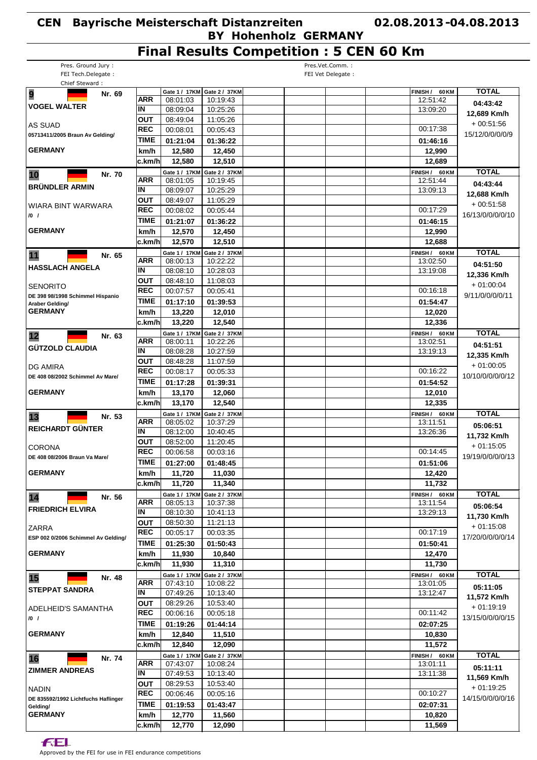# **Final Results Competition : 5 CEN 60 Km**

| FEI Tech.Delegate:<br>Chief Steward:                |                |                           |                             | FEI Vet Delegate : |                            |                  |
|-----------------------------------------------------|----------------|---------------------------|-----------------------------|--------------------|----------------------------|------------------|
| 9<br>Nr. 69                                         |                |                           | Gate 1 / 17KM Gate 2 / 37KM |                    | FINISH /<br>60 KM          | <b>TOTAL</b>     |
|                                                     | <b>ARR</b>     | 08:01:03                  | 10:19:43                    |                    | 12:51:42                   | 04:43:42         |
| <b>VOGEL WALTER</b>                                 | IN             | 08:09:04                  | 10:25:26                    |                    | 13:09:20                   | 12,689 Km/h      |
| AS SUAD                                             | <b>OUT</b>     | 08:49:04                  | 11:05:26                    |                    |                            | $+00:51:56$      |
| 05713411/2005 Braun Av Gelding/                     | <b>REC</b>     | 00:08:01                  | 00:05:43                    |                    | 00:17:38                   | 15/12/0/0/0/0/9  |
|                                                     | <b>TIME</b>    | 01:21:04                  | 01:36:22                    |                    | 01:46:16                   |                  |
| <b>GERMANY</b>                                      | km/h           | 12,580                    | 12,450                      |                    | 12,990                     |                  |
|                                                     | c.km/h         | 12,580                    | 12,510                      |                    | 12,689                     |                  |
| Nr. 70<br>10                                        |                |                           | Gate 1 / 17KM Gate 2 / 37KM |                    | FINISH / 60 KM             | <b>TOTAL</b>     |
| <b>BRÜNDLER ARMIN</b>                               | <b>ARR</b>     | 08:01:05                  | 10:19:45                    |                    | 12:51:44                   | 04:43:44         |
|                                                     | IN             | 08:09:07                  | 10:25:29                    |                    | 13:09:13                   | 12,688 Km/h      |
| WIARA BINT WARWARA                                  | <b>OUT</b>     | 08:49:07                  | 11:05:29                    |                    |                            | $+00:51:58$      |
| 10 <sub>1</sub>                                     | <b>REC</b>     | 00:08:02                  | 00:05:44                    |                    | 00:17:29                   | 16/13/0/0/0/0/10 |
|                                                     | <b>TIME</b>    | 01:21:07                  | 01:36:22                    |                    | 01:46:15                   |                  |
| <b>GERMANY</b>                                      | km/h           | 12,570                    | 12,450                      |                    | 12,990                     |                  |
|                                                     | c.km/h         | 12,570                    | 12,510                      |                    | 12,688                     |                  |
| 11<br>Nr. 65                                        | <b>ARR</b>     | Gate 1 / 17KM<br>08:00:13 | Gate 2 / 37KM<br>10:22:22   |                    | FINISH / 60 KM<br>13:02:50 | <b>TOTAL</b>     |
| <b>HASSLACH ANGELA</b>                              | IN             | 08:08:10                  | 10:28:03                    |                    | 13:19:08                   | 04:51:50         |
|                                                     | <b>OUT</b>     | 08:48:10                  | 11:08:03                    |                    |                            | 12,336 Km/h      |
| <b>SENORITO</b>                                     | <b>REC</b>     | 00:07:57                  | 00:05:41                    |                    | 00:16:18                   | $+01:00:04$      |
| DE 398 98/1998 Schimmel Hispanio                    | <b>TIME</b>    | 01:17:10                  | 01:39:53                    |                    | 01:54:47                   | 9/11/0/0/0/0/11  |
| Araber Gelding/<br><b>GERMANY</b>                   | km/h           | 13,220                    | 12,010                      |                    | 12,020                     |                  |
|                                                     | c.km/h         | 13,220                    | 12,540                      |                    | 12,336                     |                  |
|                                                     |                | Gate 1 / 17KM             | Gate 2 / 37KM               |                    | FINISH / 60 KM             | <b>TOTAL</b>     |
| 12<br>Nr. 63                                        | ARR            | 08:00:11                  | 10:22:26                    |                    | 13:02:51                   | 04:51:51         |
| <b>GÜTZOLD CLAUDIA</b>                              | IN             | 08:08:28                  | 10:27:59                    |                    | 13:19:13                   | 12,335 Km/h      |
|                                                     | <b>OUT</b>     | 08:48:28                  | 11:07:59                    |                    |                            | $+01:00:05$      |
| <b>DG AMIRA</b><br>DE 408 08/2002 Schimmel Av Mare/ | <b>REC</b>     | 00:08:17                  | 00:05:33                    |                    | 00:16:22                   | 10/10/0/0/0/0/12 |
|                                                     | <b>TIME</b>    | 01:17:28                  | 01:39:31                    |                    | 01:54:52                   |                  |
| <b>GERMANY</b>                                      | km/h           | 13,170                    | 12,060                      |                    | 12,010                     |                  |
|                                                     | c.km/h         | 13,170                    | 12,540                      |                    | 12,335                     |                  |
| 13<br>Nr. 53                                        |                | Gate 1 / 17KM             | Gate 2 / 37KM               |                    | FINISH / 60 KM             | <b>TOTAL</b>     |
|                                                     | <b>ARR</b>     |                           |                             |                    |                            |                  |
|                                                     |                | 08:05:02                  | 10:37:29                    |                    | 13:11:51                   | 05:06:51         |
| <b>REICHARDT GÜNTER</b>                             | IN             | 08:12:00                  | 10:40:45                    |                    | 13:26:36                   | 11,732 Km/h      |
| <b>CORONA</b>                                       | <b>OUT</b>     | 08:52:00                  | 11:20:45                    |                    |                            | $+01:15:05$      |
| DE 408 08/2006 Braun Va Mare/                       | <b>REC</b>     | 00:06:58                  | 00:03:16                    |                    | 00:14:45                   | 19/19/0/0/0/0/13 |
|                                                     | <b>TIME</b>    | 01:27:00                  | 01:48:45                    |                    | 01:51:06                   |                  |
| <b>GERMANY</b>                                      | km/h           | 11,720                    | 11,030                      |                    | 12,420                     |                  |
|                                                     | c.km/h         | 11.720                    | 11,340                      |                    | 11,732                     |                  |
| 14<br>Nr. 56                                        |                | Gate 1 / 17KM             | Gate 2 / 37KM               |                    | FINISH / 60 KM             | <b>TOTAL</b>     |
| <b>FRIEDRICH ELVIRA</b>                             | ARR            | 08:05:13                  | 10:37:38                    |                    | 13:11:54                   | 05:06:54         |
|                                                     | IN             | 08:10:30                  | 10:41:13                    |                    | 13:29:13                   | 11,730 Km/h      |
|                                                     | <b>OUT</b>     | 08:50:30                  | 11:21:13                    |                    |                            | $+01:15:08$      |
| ESP 002 0/2006 Schimmel Av Gelding/                 | <b>REC</b>     | 00:05:17                  | 00:03:35                    |                    | 00:17:19                   | 17/20/0/0/0/0/14 |
|                                                     | <b>TIME</b>    | 01:25:30                  | 01:50:43                    |                    | 01:50:41                   |                  |
| <b>GERMANY</b>                                      | km/h           | 11,930                    | 10,840                      |                    | 12,470                     |                  |
| <b>ZARRA</b>                                        | c.km/h         | 11,930                    | 11,310                      |                    | 11,730                     |                  |
| 15<br>Nr. 48                                        | ARR            | Gate 1 / 17KM<br>07:43:10 | Gate 2 / 37KM<br>10:08:22   |                    | FINISH / 60 KM<br>13:01:05 | <b>TOTAL</b>     |
| <b>STEPPAT SANDRA</b>                               | IN             | 07:49:26                  | 10:13:40                    |                    | 13:12:47                   | 05:11:05         |
|                                                     | <b>OUT</b>     | 08:29:26                  | 10:53:40                    |                    |                            | 11,572 Km/h      |
| ADELHEID'S SAMANTHA                                 | <b>REC</b>     | 00:06:16                  | 00:05:18                    |                    | 00:11:42                   | + 01:19:19       |
| $\frac{1}{0}$                                       | <b>TIME</b>    | 01:19:26                  | 01:44:14                    |                    | 02:07:25                   | 13/15/0/0/0/0/15 |
| <b>GERMANY</b>                                      | km/h           | 12,840                    | 11,510                      |                    | 10,830                     |                  |
|                                                     | c.km/hl        | 12,840                    | 12,090                      |                    | 11,572                     |                  |
|                                                     |                | Gate 1 / 17KM             | Gate 2 / 37KM               |                    | FINISH / 60 KM             | <b>TOTAL</b>     |
| 16<br>Nr. 74                                        | ARR            | 07:43:07                  | 10:08:24                    |                    | 13:01:11                   | 05:11:11         |
| <b>ZIMMER ANDREAS</b>                               | IN             | 07:49:53                  | 10:13:40                    |                    | 13:11:38                   | 11,569 Km/h      |
| <b>NADIN</b>                                        | <b>OUT</b>     | 08:29:53                  | 10:53:40                    |                    |                            | + 01:19:25       |
| DE 835592/1992 Lichtfuchs Haflinger                 | <b>REC</b>     | 00:06:46                  | 00:05:16                    |                    | 00:10:27                   | 14/15/0/0/0/0/16 |
| Gelding/                                            | TIME           | 01:19:53                  | 01:43:47                    |                    | 02:07:31                   |                  |
| <b>GERMANY</b>                                      | km/h<br>c.km/h | 12,770<br>12,770          | 11,560<br>12,090            |                    | 10,820<br>11,569           |                  |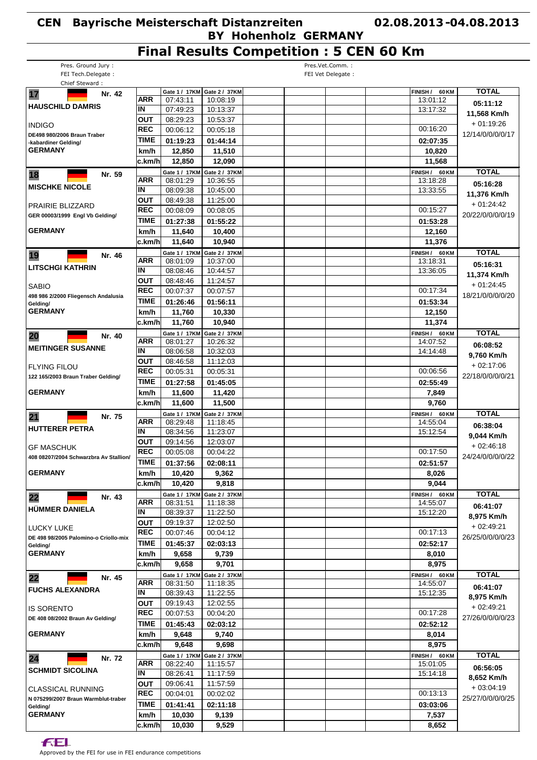## **Final Results Competition : 5 CEN 60 Km**

| Pres. Ground Jury:                     |             |               |                             | Pres.Vet.Comm.:    |                   |                  |
|----------------------------------------|-------------|---------------|-----------------------------|--------------------|-------------------|------------------|
| FEI Tech.Delegate:                     |             |               |                             | FEI Vet Delegate : |                   |                  |
| Chief Steward:                         |             |               |                             |                    |                   |                  |
| 17<br>Nr. 42                           |             |               | Gate 1 / 17KM Gate 2 / 37KM |                    | FINISH /<br>60 KM | <b>TOTAL</b>     |
| <b>HAUSCHILD DAMRIS</b>                | <b>ARR</b>  | 07:43:11      | 10:08:19                    |                    | 13:01:12          | 05:11:12         |
|                                        | IN          | 07:49:23      | 10:13:37                    |                    | 13:17:32          | 11,568 Km/h      |
| <b>INDIGO</b>                          | OUT         | 08:29:23      | 10:53:37                    |                    |                   | $+01:19:26$      |
| DE498 980/2006 Braun Traber            | <b>REC</b>  | 00:06:12      | 00:05:18                    |                    | 00:16:20          | 12/14/0/0/0/0/17 |
| -kabardiner Gelding/                   | <b>TIME</b> | 01:19:23      | 01:44:14                    |                    | 02:07:35          |                  |
| <b>GERMANY</b>                         | km/h        | 12,850        | 11,510                      |                    | 10.820            |                  |
|                                        | c.km/h      | 12,850        | 12,090                      |                    | 11,568            |                  |
| Nr. 59                                 |             | Gate 1 / 17KM | Gate 2 / 37KM               |                    | FINISH /<br>60 KM | <b>TOTAL</b>     |
| 18                                     | <b>ARR</b>  | 08:01:29      | 10:36:55                    |                    | 13:18:28          |                  |
| <b>MISCHKE NICOLE</b>                  | IN          | 08:09:38      | 10:45:00                    |                    | 13:33:55          | 05:16:28         |
|                                        | <b>OUT</b>  | 08:49:38      | 11:25:00                    |                    |                   | 11,376 Km/h      |
| PRAIRIE BLIZZARD                       | <b>REC</b>  | 00:08:09      | 00:08:05                    |                    | 00:15:27          | $+01:24:42$      |
| GER 00003/1999 Engl Vb Gelding/        | <b>TIME</b> | 01:27:38      | 01:55:22                    |                    | 01:53:28          | 20/22/0/0/0/0/19 |
| <b>GERMANY</b>                         |             |               |                             |                    |                   |                  |
|                                        | km/h        | 11,640        | 10,400                      |                    | 12,160            |                  |
|                                        | c.km/h      | 11,640        | 10,940                      |                    | 11,376            |                  |
| 19<br>Nr. 46                           |             | Gate 1 / 17KM | Gate 2 / 37KM               |                    | FINISH / 60 KM    | <b>TOTAL</b>     |
| <b>LITSCHGI KATHRIN</b>                | ARR         | 08:01:09      | 10:37:00                    |                    | 13:18:31          | 05:16:31         |
|                                        | IN          | 08:08:46      | 10:44:57                    |                    | 13:36:05          | 11,374 Km/h      |
| SABIO                                  | <b>OUT</b>  | 08:48:46      | 11:24:57                    |                    |                   | $+01:24:45$      |
| 498 986 2/2000 Fliegensch Andalusia    | <b>REC</b>  | 00:07:37      | 00:07:57                    |                    | 00:17:34          | 18/21/0/0/0/0/20 |
| Gelding/                               | <b>TIME</b> | 01:26:46      | 01:56:11                    |                    | 01:53:34          |                  |
| <b>GERMANY</b>                         | km/h        | 11,760        | 10,330                      |                    | 12,150            |                  |
|                                        | c.km/h      | 11,760        | 10,940                      |                    | 11,374            |                  |
|                                        |             | Gate 1 / 17KM | Gate 2 / 37KM               |                    | FINISH / 60 KM    | <b>TOTAL</b>     |
| 20<br>Nr. 40                           | <b>ARR</b>  | 08:01:27      | 10:26:32                    |                    | 14:07:52          |                  |
| <b>MEITINGER SUSANNE</b>               | IN          | 08:06:58      | 10:32:03                    |                    | 14:14:48          | 06:08:52         |
|                                        | <b>OUT</b>  | 08:46:58      | 11:12:03                    |                    |                   | 9,760 Km/h       |
| FLYING FILOU                           | <b>REC</b>  | 00:05:31      | 00:05:31                    |                    | 00:06:56          | $+02:17:06$      |
| 122 165/2003 Braun Traber Gelding/     | <b>TIME</b> | 01:27:58      | 01:45:05                    |                    | 02:55:49          | 22/18/0/0/0/0/21 |
| <b>GERMANY</b>                         |             |               |                             |                    |                   |                  |
|                                        | km/h        | 11,600        | 11,420                      |                    | 7,849             |                  |
|                                        | c.km/h      | 11,600        | 11,500                      |                    | 9,760             |                  |
| 21<br>Nr. 75                           |             | Gate 1 / 17KM | Gate 2 / 37KM               |                    | FINISH / 60 KM    | <b>TOTAL</b>     |
| <b>HUTTERER PETRA</b>                  | <b>ARR</b>  | 08:29:48      | 11:18:45                    |                    | 14:55:04          | 06:38:04         |
|                                        | IN          | 08:34:56      | 11:23:07                    |                    | 15:12:54          | 9,044 Km/h       |
| <b>GF MASCHUK</b>                      | <b>OUT</b>  | 09:14:56      | 12:03:07                    |                    |                   | $+02:46:18$      |
| 408 08207/2004 Schwarzbra Av Stallion/ | <b>REC</b>  | 00:05:08      | 00:04:22                    |                    | 00:17:50          | 24/24/0/0/0/0/22 |
|                                        | <b>TIME</b> | 01:37:56      | 02:08:11                    |                    | 02:51:57          |                  |
| <b>GERMANY</b>                         | km/h        | 10,420        | 9,362                       |                    | 8,026             |                  |
|                                        | c.km/h      | 10,420        | 9,818                       |                    | 9,044             |                  |
|                                        |             | Gate 1 / 17KM | Gate 2 / 37KM               |                    | FINISH / 60 KM    | <b>TOTAL</b>     |
| 22<br>Nr. 43                           | ARR         | 08:31:51      | 11:18:38                    |                    | 14:55:07          |                  |
| <b>HÜMMER DANIELA</b>                  | IN          | 08:39:37      | 11:22:50                    |                    | 15:12:20          | 06:41:07         |
|                                        | OUT         | 09:19:37      | 12:02:50                    |                    |                   | 8,975 Km/h       |
| LUCKY LUKE                             | <b>REC</b>  | 00:07:46      | 00:04:12                    |                    | 00:17:13          | + 02:49:21       |
| DE 498 98/2005 Palomino-o Criollo-mix  | <b>TIME</b> | 01:45:37      | 02:03:13                    |                    | 02:52:17          | 26/25/0/0/0/0/23 |
| Gelding/<br><b>GERMANY</b>             | km/h        | 9,658         | 9,739                       |                    |                   |                  |
|                                        |             |               |                             |                    | 8,010             |                  |
|                                        | c.km/h      | 9,658         | 9,701                       |                    | 8,975             |                  |
| 22<br>Nr. 45                           |             | Gate 1 / 17KM | Gate 2 / 37KM               |                    | FINISH / 60 KM    | <b>TOTAL</b>     |
| <b>FUCHS ALEXANDRA</b>                 | <b>ARR</b>  | 08:31:50      | 11:18:35                    |                    | 14:55:07          | 06:41:07         |
|                                        | IN          | 08:39:43      | 11:22:55                    |                    | 15:12:35          | 8,975 Km/h       |
| IIS SORENTO                            | <b>OUT</b>  | 09:19:43      | 12:02:55                    |                    |                   | $+02:49:21$      |
| DE 408 08/2002 Braun Av Gelding/       | <b>REC</b>  | 00:07:53      | 00:04:20                    |                    | 00:17:28          | 27/26/0/0/0/0/23 |
|                                        | <b>TIME</b> | 01:45:43      | 02:03:12                    |                    | 02:52:12          |                  |
| <b>GERMANY</b>                         | km/h        | 9,648         | 9,740                       |                    | 8,014             |                  |
|                                        | c.km/h      | 9,648         | 9,698                       |                    | 8,975             |                  |
|                                        |             | Gate 1 / 17KM | Gate 2 / 37KM               |                    | FINISH / 60 KM    | <b>TOTAL</b>     |
| 24<br>Nr. 72                           | ARR         | 08:22:40      | 11:15:57                    |                    | 15:01:05          | 06:56:05         |
| <b>SCHMIDT SICOLINA</b>                | IN          | 08:26:41      | 11:17:59                    |                    | 15:14:18          |                  |
|                                        | <b>OUT</b>  | 09:06:41      | 11:57:59                    |                    |                   | 8,652 Km/h       |
| <b>CLASSICAL RUNNING</b>               | <b>REC</b>  | 00:04:01      | 00:02:02                    |                    | 00:13:13          | + 03:04:19       |
| N 075299/2007 Braun Warmblut-traber    | <b>TIME</b> | 01:41:41      | 02:11:18                    |                    | 03:03:06          | 25/27/0/0/0/0/25 |
| Gelding/<br><b>GERMANY</b>             | km/h        |               |                             |                    | 7,537             |                  |
|                                        |             | 10,030        | 9,139                       |                    |                   |                  |
|                                        | c.km/h      | 10,030        | 9,529                       |                    | 8,652             |                  |

**FEL**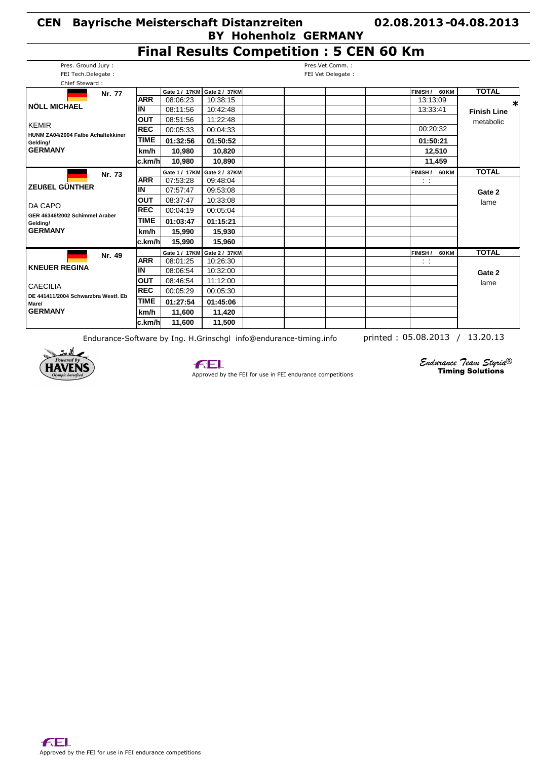## **Final Results Competition : 5 CEN 60 Km**

| Pres. Ground Jury:                               |             |               |               |  | Pres.Vet.Comm.:   |               |        |                    |
|--------------------------------------------------|-------------|---------------|---------------|--|-------------------|---------------|--------|--------------------|
| FEI Tech.Delegate:                               |             |               |               |  | FEI Vet Delegate: |               |        |                    |
| Chief Steward:                                   |             |               |               |  |                   |               |        |                    |
| Nr. 77                                           |             | Gate 1 / 17KM | Gate 2 / 37KM |  |                   | <b>FINISH</b> | 60 KM  | <b>TOTAL</b>       |
| <b>NÖLL MICHAEL</b>                              | <b>ARR</b>  | 08:06:23      | 10:38:15      |  |                   | 13:13:09      |        | ∗                  |
|                                                  | IN          | 08:11:56      | 10:42:48      |  |                   | 13:33:41      |        | <b>Finish Line</b> |
| <b>KEMIR</b>                                     | <b>OUT</b>  | 08:51:56      | 11:22:48      |  |                   |               |        | metabolic          |
|                                                  | <b>REC</b>  | 00:05:33      | 00:04:33      |  |                   | 00:20:32      |        |                    |
| HUNM ZA04/2004 Falbe Achaltekkiner<br>Gelding/   | <b>TIME</b> | 01:32:56      | 01:50:52      |  |                   | 01:50:21      |        |                    |
| <b>GERMANY</b>                                   | km/h        | 10,980        | 10,820        |  |                   |               | 12,510 |                    |
|                                                  | lc.km/hl    | 10,980        | 10,890        |  |                   |               | 11,459 |                    |
| Nr. 73                                           |             | Gate 1 / 17KM | Gate 2 / 37KM |  |                   | FINISH /      | 60 KM  | <b>TOTAL</b>       |
|                                                  | <b>ARR</b>  | 07:53:28      | 09:48:04      |  |                   | $\sim$ $\sim$ |        |                    |
| <b>ZEUßEL GÜNTHER</b>                            | IN          | 07:57:47      | 09:53:08      |  |                   |               |        | Gate 2             |
|                                                  | <b>OUT</b>  | 08:37:47      | 10:33:08      |  |                   |               |        | lame               |
| <b>DA CAPO</b><br>GER 46346/2002 Schimmel Araber | <b>REC</b>  | 00:04:19      | 00:05:04      |  |                   |               |        |                    |
| Gelding/                                         | <b>TIME</b> | 01:03:47      | 01:15:21      |  |                   |               |        |                    |
| <b>GERMANY</b>                                   | km/h        | 15,990        | 15,930        |  |                   |               |        |                    |
|                                                  | lc.km/hl    | 15,990        | 15,960        |  |                   |               |        |                    |
| Nr. 49                                           |             | Gate 1 / 17KM | Gate 2 / 37KM |  |                   | FINISH /      | 60 KM  | <b>TOTAL</b>       |
|                                                  | <b>ARR</b>  | 08:01:25      | 10:26:30      |  |                   | $\sim$ 1      |        |                    |
| <b>KNEUER REGINA</b>                             | İΝ          | 08:06:54      | 10:32:00      |  |                   |               |        | Gate 2             |
|                                                  | <b>OUT</b>  | 08:46:54      | 11:12:00      |  |                   |               |        | lame               |
| <b>CAECILIA</b>                                  | <b>REC</b>  | 00:05:29      | 00:05:30      |  |                   |               |        |                    |
| DE 441411/2004 Schwarzbra Westf. Eb<br>Mare/     | <b>TIME</b> | 01:27:54      | 01:45:06      |  |                   |               |        |                    |
| <b>GERMANY</b>                                   | km/h        | 11,600        | 11,420        |  |                   |               |        |                    |
|                                                  | c.km/hl     | 11,600        | 11,500        |  |                   |               |        |                    |

Endurance-Software by Ing. H.Grinschgl info@endurance-timing.info printed : 05.08.2013 / 13.20.13





Approved by the FEI for use in FEI endurance competitions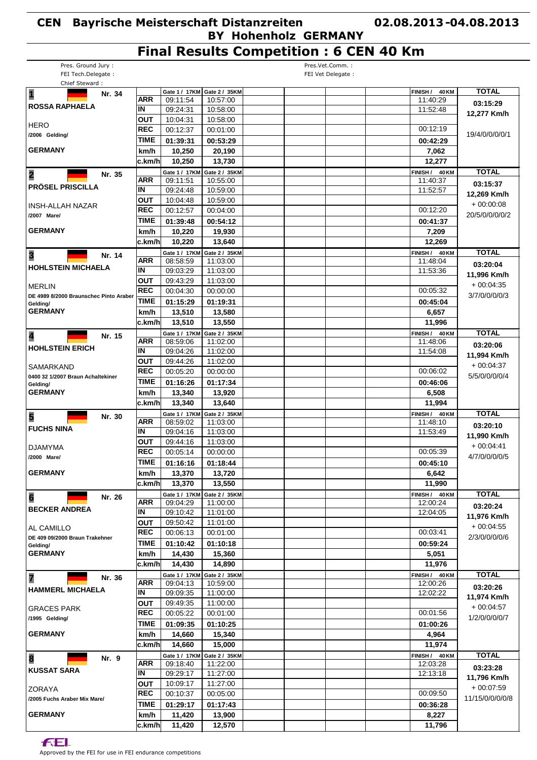## **Final Results Competition : 6 CEN 40 Km**

| Pres. Ground Jury:<br>FEI Tech.Delegate:<br>Chief Steward: |                          |                      |                             | Pres.Vet.Comm.:<br>FEI Vet Delegate : |                      |                 |
|------------------------------------------------------------|--------------------------|----------------------|-----------------------------|---------------------------------------|----------------------|-----------------|
| $\overline{\mathbf{1}}$<br>Nr. 34                          |                          |                      | Gate 1 / 17KM Gate 2 / 35KM |                                       | FINISH /<br>40 KM    | <b>TOTAL</b>    |
| <b>ROSSA RAPHAELA</b>                                      | <b>ARR</b>               | 09:11:54             | 10:57:00                    |                                       | 11:40:29             | 03:15:29        |
|                                                            | IN                       | 09:24:31             | 10:58:00                    |                                       | 11:52:48             | 12,277 Km/h     |
| <b>HERO</b>                                                | <b>OUT</b>               | 10:04:31             | 10:58:00                    |                                       |                      |                 |
| /2006 Gelding/                                             | <b>REC</b>               | 00:12:37             | 00:01:00                    |                                       | 00:12:19             | 19/4/0/0/0/0/1  |
|                                                            | TIME                     | 01:39:31             | 00:53:29                    |                                       | 00:42:29             |                 |
| <b>GERMANY</b>                                             | km/h                     | 10,250               | 20,190                      |                                       | 7,062                |                 |
|                                                            | lc.km/hl                 | 10,250               | 13,730                      |                                       | 12,277               |                 |
| $\overline{\mathbf{2}}$<br>Nr. 35                          | <b>ARR</b>               | 09:11:51             | Gate 1 / 17KM Gate 2 / 35KM |                                       | FINISH / 40 KM       | <b>TOTAL</b>    |
| <b>PRÖSEL PRISCILLA</b>                                    | IN                       | 09:24:48             | 10:55:00                    |                                       | 11:40:37<br>11:52:57 | 03:15:37        |
|                                                            |                          |                      | 10:59:00                    |                                       |                      | 12,269 Km/h     |
| <b>INSH-ALLAH NAZAR</b>                                    | <b>OUT</b><br><b>REC</b> | 10:04:48<br>00:12:57 | 10:59:00                    |                                       | 00:12:20             | $+00:00:08$     |
| /2007 Mare/                                                |                          |                      | 00:04:00                    |                                       |                      | 20/5/0/0/0/0/2  |
|                                                            | TIME                     | 01:39:48             | 00:54:12                    |                                       | 00:41:37             |                 |
| <b>GERMANY</b>                                             | km/h                     | 10,220               | 19,930                      |                                       | 7,209                |                 |
|                                                            | c.km/h                   | 10,220               | 13,640                      |                                       | 12,269               |                 |
| $\overline{\mathbf{3}}$<br>Nr. 14                          |                          | Gate 1 / 17KM        | Gate 2 / 35KM               |                                       | FINISH /<br>40 KM    | <b>TOTAL</b>    |
| <b>HOHLSTEIN MICHAELA</b>                                  | <b>ARR</b><br>IN         | 08:58:59             | 11:03:00                    |                                       | 11:48:04             | 03:20:04        |
|                                                            |                          | 09:03:29             | 11:03:00                    |                                       | 11:53:36             | 11,996 Km/h     |
| <b>MERLIN</b>                                              | <b>OUT</b>               | 09:43:29             | 11:03:00                    |                                       |                      | $+00:04:35$     |
| DE 4989 8/2000 Braunschec Pinto Araber                     | <b>REC</b>               | 00:04:30             | 00:00:00                    |                                       | 00:05:32             | 3/7/0/0/0/0/3   |
| Gelding/                                                   | <b>TIME</b>              | 01:15:29             | 01:19:31                    |                                       | 00:45:04             |                 |
| <b>GERMANY</b>                                             | km/h                     | 13,510               | 13,580                      |                                       | 6,657                |                 |
|                                                            | c.km/h                   | 13,510               | 13,550                      |                                       | 11,996               |                 |
| $\overline{\mathbf{4}}$<br>Nr. 15                          |                          | Gate 1 / 17KM        | Gate 2 / 35KM               |                                       | FINISH / 40 KM       | <b>TOTAL</b>    |
| <b>HOHLSTEIN ERICH</b>                                     | <b>ARR</b>               | 08:59:06             | 11:02:00                    |                                       | 11:48:06             | 03:20:06        |
|                                                            | IN                       | 09:04:26             | 11:02:00                    |                                       | 11:54:08             | 11,994 Km/h     |
| SAMARKAND                                                  | OUT                      | 09:44:26             | 11:02:00                    |                                       |                      | $+00:04:37$     |
| 0400 32 1/2007 Braun Achaltekiner                          | <b>REC</b>               | 00:05:20             | 00:00:00                    |                                       | 00:06:02             | 5/5/0/0/0/0/4   |
| Gelding/                                                   | TIME                     | 01:16:26             | 01:17:34                    |                                       | 00:46:06             |                 |
| <b>GERMANY</b>                                             | km/h                     | 13,340               | 13,920                      |                                       | 6,508                |                 |
|                                                            |                          |                      |                             |                                       |                      |                 |
|                                                            | c.km/h                   | 13,340               | 13,640                      |                                       | 11,994               |                 |
|                                                            |                          |                      | Gate 1 / 17KM Gate 2 / 35KM |                                       | FINISH /<br>40 KM    | <b>TOTAL</b>    |
| 5<br>Nr. 30                                                | <b>ARR</b>               | 08:59:02             | 11:03:00                    |                                       | 11:48:10             | 03:20:10        |
| <b>FUCHS NINA</b>                                          | IN                       | 09:04:16             | 11:03:00                    |                                       | 11:53:49             | 11,990 Km/h     |
|                                                            | OUT                      | 09:44:16             | 11:03:00                    |                                       |                      | $+00:04:41$     |
| <b>DJAMYMA</b>                                             | <b>REC</b>               | 00:05:14             | 00:00:00                    |                                       | 00:05:39             | 4/7/0/0/0/0/5   |
| /2000 Mare/                                                | <b>TIME</b>              | 01:16:16             | 01:18:44                    |                                       | 00:45:10             |                 |
| <b>GERMANY</b>                                             | km/h                     | 13,370               | 13,720                      |                                       | 6,642                |                 |
|                                                            | c.km/h                   | 13,370               | 13,550                      |                                       | 11,990               |                 |
| Nr. 26                                                     |                          |                      | Gate 1 / 17KM Gate 2 / 35KM |                                       | FINISH / 40 KM       | <b>TOTAL</b>    |
| $6\phantom{a}$                                             | <b>ARR</b>               | 09:04:29             | 11:00:00                    |                                       | 12:00:24             | 03:20:24        |
| <b>BECKER ANDREA</b>                                       | IN                       | 09:10:42             | 11:01:00                    |                                       | 12:04:05             | 11,976 Km/h     |
| AL CAMILLO                                                 | <b>OUT</b>               | 09:50:42             | 11:01:00                    |                                       |                      | $+00:04:55$     |
| DE 409 09/2000 Braun Trakehner                             | <b>REC</b>               | 00:06:13             | 00:01:00                    |                                       | 00:03:41             | 2/3/0/0/0/0/6   |
| Gelding/                                                   | <b>TIME</b>              | 01:10:42             | 01:10:18                    |                                       | 00:59:24             |                 |
| <b>GERMANY</b>                                             | km/h                     | 14,430               | 15,360                      |                                       | 5,051                |                 |
|                                                            | c.km/hl                  | 14,430               | 14,890                      |                                       | 11,976               |                 |
| Nr. 36                                                     |                          | Gate 1 / 17KM        | Gate 2 / 35KM               |                                       | FINISH / 40 KM       | <b>TOTAL</b>    |
| 7                                                          | ARR                      | 09:04:13             | 10:59:00                    |                                       | 12:00:26             | 03:20:26        |
| <b>HAMMERL MICHAELA</b>                                    | IN                       | 09:09:35             | 11:00:00                    |                                       | 12:02:22             | 11,974 Km/h     |
| <b>GRACES PARK</b>                                         | ΟUΤ                      | 09:49:35             | 11:00:00                    |                                       |                      | $+00:04:57$     |
| /1995 Gelding/                                             | <b>REC</b>               | 00:05:22             | 00:01:00                    |                                       | 00:01:56             | 1/2/0/0/0/0/7   |
|                                                            | <b>TIME</b>              | 01:09:35             | 01:10:25                    |                                       | 01:00:26             |                 |
| <b>GERMANY</b>                                             | km/h                     | 14,660               | 15,340                      |                                       | 4,964                |                 |
|                                                            | c.km/h                   | 14,660               | 15,000                      |                                       | 11,974               |                 |
| Nr. 9                                                      |                          |                      | Gate 1 / 17KM Gate 2 / 35KM |                                       | FINISH / 40 KM       | <b>TOTAL</b>    |
| 8                                                          | ARR                      | 09:18:40             | 11:22:00                    |                                       | 12:03:28             | 03:23:28        |
| <b>KUSSAT SARA</b>                                         | IN                       | 09:29:17             | 11:27:00                    |                                       | 12:13:18             | 11,796 Km/h     |
| <b>ZORAYA</b>                                              | OUT                      | 10:09:17             | 11:27:00                    |                                       |                      | $+00:07:59$     |
| /2005 Fuchs Araber Mix Mare/                               | <b>REC</b>               | 00:10:37             | 00:05:00                    |                                       | 00:09:50             | 11/15/0/0/0/0/8 |
|                                                            | <b>TIME</b>              | 01:29:17             | 01:17:43                    |                                       | 00:36:28             |                 |
| <b>GERMANY</b>                                             | km/h                     | 11,420<br>11,420     | 13,900<br>12,570            |                                       | 8,227<br>11,796      |                 |

**FEL**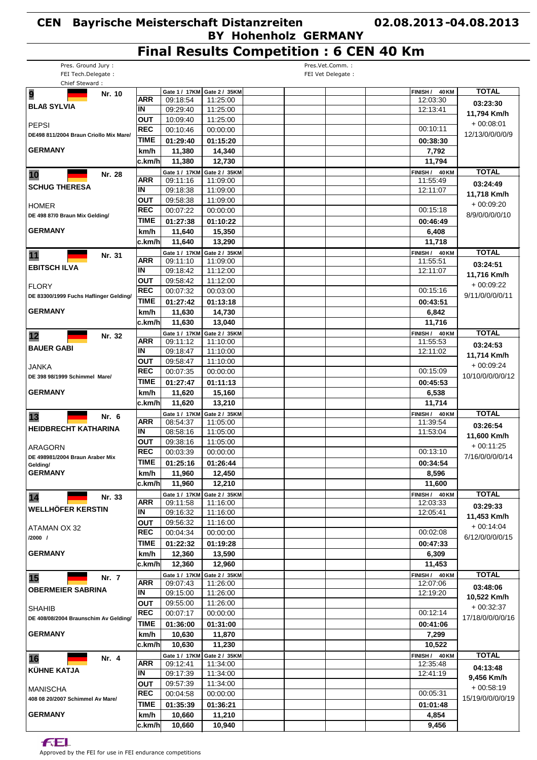# **Final Results Competition : 6 CEN 40 Km**

| FEI Tech.Delegate:                     |                |                           |                                           |                            |                  |
|----------------------------------------|----------------|---------------------------|-------------------------------------------|----------------------------|------------------|
| Chief Steward:                         |                |                           |                                           | FEI Vet Delegate :         |                  |
| 9<br>Nr. 10                            |                |                           | Gate 1 / 17KM Gate 2 / 35KM               | FINISH /<br>40 KM          | <b>TOTAL</b>     |
|                                        | <b>ARR</b>     | 09:18:54                  | 11:25:00                                  | 12:03:30                   | 03:23:30         |
| <b>BLAß SYLVIA</b>                     | ΙN             | 09:29:40                  | 11:25:00                                  | 12:13:41                   | 11,794 Km/h      |
|                                        | <b>OUT</b>     | 10:09:40                  | 11:25:00                                  |                            | $+00:08:01$      |
| <b>PEPSI</b>                           | <b>REC</b>     | 00:10:46                  | 00:00:00                                  | 00:10:11                   |                  |
| DE498 811/2004 Braun Criollo Mix Mare/ | <b>TIME</b>    | 01:29:40                  | 01:15:20                                  | 00:38:30                   | 12/13/0/0/0/0/9  |
| <b>GERMANY</b>                         | km/h           | 11,380                    | 14,340                                    | 7,792                      |                  |
|                                        | c.km/h         | 11,380                    | 12.730                                    | 11,794                     |                  |
|                                        |                |                           | Gate 1 / 17KM Gate 2 / 35KM               | FINISH / 40 KM             | <b>TOTAL</b>     |
| 10<br>Nr. 28                           | <b>ARR</b>     | 09:11:16                  | 11:09:00                                  | 11:55:49                   | 03:24:49         |
| <b>SCHUG THERESA</b>                   | ΙN             | 09:18:38                  | 11:09:00                                  | 12:11:07                   |                  |
|                                        | <b>OUT</b>     | 09:58:38                  | 11:09:00                                  |                            | 11,718 Km/h      |
| <b>HOMER</b>                           | <b>REC</b>     | 00:07:22                  | 00:00:00                                  | 00:15:18                   | $+00:09:20$      |
| DE 498 87/0 Braun Mix Gelding/         | <b>TIME</b>    | 01:27:38                  | 01:10:22                                  | 00:46:49                   | 8/9/0/0/0/0/10   |
| <b>GERMANY</b>                         | km/h           | 11,640                    | 15,350                                    | 6,408                      |                  |
|                                        | c.km/h         | 11,640                    | 13,290                                    | 11,718                     |                  |
|                                        |                |                           | Gate 1 / 17KM Gate 2 / 35KM               | FINISH / 40 KM             | <b>TOTAL</b>     |
| 11<br>Nr. 31                           | <b>ARR</b>     | 09:11:10                  | 11:09:00                                  | 11:55:51                   |                  |
| <b>EBITSCH ILVA</b>                    | ΙN             | 09:18:42                  | 11:12:00                                  | 12:11:07                   | 03:24:51         |
|                                        | <b>OUT</b>     | 09:58:42                  | 11:12:00                                  |                            | 11,716 Km/h      |
| <b>FLORY</b>                           | <b>REC</b>     | 00:07:32                  | 00:03:00                                  | 00:15:16                   | $+00.09:22$      |
| DE 83300/1999 Fuchs Haflinger Gelding/ | <b>TIME</b>    | 01:27:42                  | 01:13:18                                  | 00:43:51                   | 9/11/0/0/0/0/11  |
| <b>GERMANY</b>                         | km/h           | 11,630                    | 14,730                                    | 6,842                      |                  |
|                                        | c.km/h         | 11,630                    | 13,040                                    | 11,716                     |                  |
|                                        |                |                           |                                           |                            |                  |
| 12<br>Nr. 32                           | ARR            | Gate 1 / 17KM<br>09:11:12 | Gate 2 / 35KM<br>11:10:00                 | FINISH / 40 KM<br>11:55:53 | <b>TOTAL</b>     |
| <b>BAUER GABI</b>                      | IN             | 09:18:47                  | 11:10:00                                  | 12:11:02                   | 03:24:53         |
|                                        | <b>OUT</b>     | 09:58:47                  | 11:10:00                                  |                            | 11,714 Km/h      |
| JANKA                                  | <b>REC</b>     | 00:07:35                  |                                           | 00:15:09                   | $+00:09:24$      |
| DE 398 98/1999 Schimmel Mare/          |                |                           | 00:00:00                                  |                            | 10/10/0/0/0/0/12 |
|                                        | <b>TIME</b>    | 01:27:47                  | 01:11:13                                  | 00:45:53                   |                  |
| <b>GERMANY</b>                         | km/h           | 11,620                    | 15,160                                    | 6,538                      |                  |
|                                        | c.km/h         | 11,620                    | 13,210                                    | 11,714                     |                  |
| 13<br>Nr. 6                            |                | Gate 1 / 17KM             | Gate 2 / 35KM                             | FINISH /<br>40 KM          | <b>TOTAL</b>     |
| <b>HEIDBRECHT KATHARINA</b>            | <b>ARR</b>     | 08:54:37                  | 11:05:00                                  | 11:39:54                   | 03:26:54         |
|                                        | ΙN             | 08:58:16                  | 11:05:00                                  | 11:53:04                   | 11,600 Km/h      |
| ARAGORN                                | OUT            | 09:38:16                  | 11:05:00                                  |                            | $+00:11:25$      |
| DE 498981/2004 Braun Araber Mix        | <b>REC</b>     | 00:03:39                  | 00:00:00                                  | 00:13:10                   |                  |
| Geldina/                               |                |                           |                                           |                            | 7/16/0/0/0/0/14  |
|                                        | <b>TIME</b>    | 01:25:16                  | 01:26:44                                  | 00:34:54                   |                  |
| <b>GERMANY</b>                         | km/h           | 11,960                    | 12,450                                    | 8,596                      |                  |
|                                        | c.km/h         | 11,960                    | 12,210                                    | 11,600                     |                  |
| Nr. 33                                 |                |                           | Gate 1 / 17KM   Gate 2 / 35KM             | FINISH / 40 KM             | <b>TOTAL</b>     |
| 14                                     | ARR            | 09:11:58                  | 11:16:00                                  | 12:03:33                   | 03:29:33         |
| WELLHÖFER KERSTIN                      | IN             | 09:16:32                  | 11:16:00                                  | 12:05:41                   | 11,453 Km/h      |
|                                        | OUT            | 09:56:32                  | 11:16:00                                  |                            | $+00:14:04$      |
| ATAMAN OX 32                           | <b>REC</b>     | 00:04:34                  | 00:00:00                                  | 00:02:08                   |                  |
| /2000 /                                | <b>TIME</b>    | 01:22:32                  | 01:19:28                                  | 00:47:33                   | 6/12/0/0/0/0/15  |
| <b>GERMANY</b>                         | km/h           | 12,360                    | 13,590                                    | 6,309                      |                  |
|                                        | c.km/h         | 12,360                    | 12,960                                    | 11,453                     |                  |
|                                        |                | Gate 1 / 17KM             | Gate 2 / 35KM                             | FINISH / 40 KM             | <b>TOTAL</b>     |
| 15<br>Nr. 7                            | ARR            | 09:07:43                  | 11:26:00                                  | 12:07:06                   |                  |
| <b>OBERMEIER SABRINA</b>               | IN             | 09:15:00                  | 11:26:00                                  | 12:19:20                   | 03:48:06         |
|                                        | <b>OUT</b>     | 09:55:00                  | 11:26:00                                  |                            | 10,522 Km/h      |
| <b>SHAHIB</b>                          | <b>REC</b>     | 00:07:17                  | 00:00:00                                  | 00:12:14                   | $+00:32:37$      |
| DE 408/08/2004 Braunschim Av Gelding/  | <b>TIME</b>    | 01:36:00                  | 01:31:00                                  | 00:41:06                   | 17/18/0/0/0/0/16 |
| <b>GERMANY</b>                         | km/h           | 10,630                    | 11,870                                    | 7,299                      |                  |
|                                        | c.km/hl        | 10,630                    | 11,230                                    | 10,522                     |                  |
|                                        |                |                           |                                           |                            |                  |
| 16<br>Nr. 4                            | ARR            | 09:12:41                  | Gate 1 / 17KM   Gate 2 / 35KM<br>11:34:00 | FINISH / 40 KM<br>12:35:48 | <b>TOTAL</b>     |
| <b>KÜHNE KATJA</b>                     | IN             | 09:17:39                  | 11:34:00                                  | 12:41:19                   | 04:13:48         |
|                                        | <b>OUT</b>     | 09:57:39                  | 11:34:00                                  |                            | 9,456 Km/h       |
| <b>MANISCHA</b>                        | <b>REC</b>     |                           |                                           | 00:05:31                   | $+00:58:19$      |
| 408 08 20/2007 Schimmel Av Mare/       |                | 00:04:58                  | 00:00:00                                  |                            | 15/19/0/0/0/0/19 |
|                                        | TIME           | 01:35:39                  | 01:36:21                                  | 01:01:48                   |                  |
| <b>GERMANY</b>                         | km/h<br>c.km/h | 10,660<br>10,660          | 11,210<br>10,940                          | 4,854<br>9,456             |                  |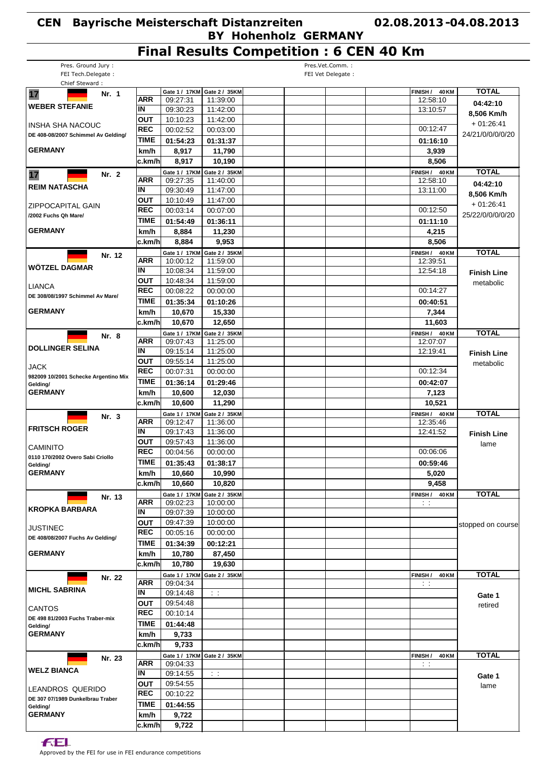# **Final Results Competition : 6 CEN 40 Km**

| Pres. Ground Jury:                   |             |                           |                               |                                       |                            |                    |
|--------------------------------------|-------------|---------------------------|-------------------------------|---------------------------------------|----------------------------|--------------------|
| FEI Tech.Delegate:                   |             |                           |                               | Pres.Vet.Comm.:<br>FEI Vet Delegate : |                            |                    |
| Chief Steward:                       |             |                           |                               |                                       |                            |                    |
|                                      |             |                           | Gate 1 / 17KM Gate 2 / 35KM   |                                       | <b>FINISH</b> /<br>40 KM   | <b>TOTAL</b>       |
| 17<br>Nr. 1                          | ARR         | 09:27:31                  | 11:39:00                      |                                       | 12:58:10                   |                    |
| <b>WEBER STEFANIE</b>                | IN          | 09:30:23                  | 11:42:00                      |                                       | 13:10:57                   | 04:42:10           |
|                                      | <b>OUT</b>  | 10:10:23                  | 11:42:00                      |                                       |                            | 8,506 Km/h         |
| <b>INSHA SHA NACOUC</b>              | <b>REC</b>  | 00:02:52                  | 00:03:00                      |                                       | 00:12:47                   | $+01:26:41$        |
| DE 408-08/2007 Schimmel Av Gelding/  | <b>TIME</b> |                           |                               |                                       |                            | 24/21/0/0/0/0/20   |
|                                      |             | 01:54:23                  | 01:31:37                      |                                       | 01:16:10                   |                    |
| <b>GERMANY</b>                       | km/h        | 8,917                     | 11,790                        |                                       | 3,939                      |                    |
|                                      | c.km/h      | 8,917                     | 10,190                        |                                       | 8,506                      |                    |
| 17<br>Nr. 2                          |             | Gate 1 / 17KM             | Gate 2 / 35KM                 |                                       | FINISH / 40 KM             | <b>TOTAL</b>       |
|                                      | <b>ARR</b>  | 09:27:35                  | 11:40:00                      |                                       | 12:58:10                   | 04:42:10           |
| <b>REIM NATASCHA</b>                 | ΙN          | 09:30:49                  | 11:47:00                      |                                       | 13:11:00                   | 8,506 Km/h         |
|                                      | <b>OUT</b>  | 10:10:49                  | 11:47:00                      |                                       |                            | $+01:26:41$        |
| ZIPPOCAPITAL GAIN                    | <b>REC</b>  | 00:03:14                  | 00:07:00                      |                                       | 00:12:50                   |                    |
| /2002 Fuchs Qh Mare/                 | <b>TIME</b> | 01:54:49                  | 01:36:11                      |                                       | 01:11:10                   | 25/22/0/0/0/0/20   |
| <b>GERMANY</b>                       | km/h        | 8,884                     | 11,230                        |                                       | 4,215                      |                    |
|                                      | c.km/h      | 8,884                     | 9,953                         |                                       | 8.506                      |                    |
|                                      |             |                           |                               |                                       |                            |                    |
| Nr. 12                               | <b>ARR</b>  | Gate 1 / 17KM<br>10:00:12 | Gate 2 / 35KM                 |                                       | FINISH / 40 KM<br>12:39:51 | <b>TOTAL</b>       |
| <b>WÖTZEL DAGMAR</b>                 |             |                           | 11:59:00                      |                                       |                            |                    |
|                                      | ΙN          | 10:08:34                  | 11:59:00                      |                                       | 12:54:18                   | <b>Finish Line</b> |
| <b>LIANCA</b>                        | <b>OUT</b>  | 10:48:34                  | 11:59:00                      |                                       |                            | metabolic          |
| DE 308/08/1997 Schimmel Av Mare/     | <b>REC</b>  | 00:08:22                  | 00:00:00                      |                                       | 00:14:27                   |                    |
|                                      | <b>TIME</b> | 01:35:34                  | 01:10:26                      |                                       | 00:40:51                   |                    |
| <b>GERMANY</b>                       | km/h        | 10,670                    | 15,330                        |                                       | 7,344                      |                    |
|                                      | c.km/h      | 10,670                    | 12,650                        |                                       | 11,603                     |                    |
|                                      |             | Gate 1 / 17KM             | Gate 2 / 35KM                 |                                       | FINISH / 40 KM             | <b>TOTAL</b>       |
| Nr. 8                                | <b>ARR</b>  | 09:07:43                  | 11:25:00                      |                                       | 12:07:07                   |                    |
| <b>DOLLINGER SELINA</b>              | ΙN          | 09:15:14                  | 11:25:00                      |                                       | 12:19:41                   |                    |
|                                      | <b>OUT</b>  | 09:55:14                  | 11:25:00                      |                                       |                            | <b>Finish Line</b> |
| <b>JACK</b>                          | <b>REC</b>  |                           |                               |                                       | 00:12:34                   | metabolic          |
| 982009 10/2001 Schecke Argentino Mix |             | 00:07:31                  | 00:00:00                      |                                       |                            |                    |
| Gelding/                             | <b>TIME</b> | 01:36:14                  | 01:29:46                      |                                       | 00:42:07                   |                    |
| <b>GERMANY</b>                       | km/h        | 10,600                    | 12,030                        |                                       | 7,123                      |                    |
|                                      | c.km/h      | 10,600                    | 11,290                        |                                       | 10,521                     |                    |
| Nr. 3                                |             | Gate 1 / 17KM             | Gate 2 / 35KM                 |                                       | FINISH / 40 KM             | <b>TOTAL</b>       |
|                                      | <b>ARR</b>  | 09:12:47                  | 11:36:00                      |                                       | 12:35:46                   |                    |
| <b>FRITSCH ROGER</b>                 | ΙN          | 09:17:43                  | 11:36:00                      |                                       | 12:41:52                   | <b>Finish Line</b> |
|                                      | <b>OUT</b>  | 09:57:43                  | 11:36:00                      |                                       |                            | lame               |
| <b>CAMINITO</b>                      | <b>REC</b>  | 00:04:56                  | 00:00:00                      |                                       | 00:06:06                   |                    |
| 0110 170/2002 Overo Sabi Criollo     |             | TIME 01:35:43             | 01:38:17                      |                                       | 00:59:46                   |                    |
| Gelding/<br><b>GERMANY</b>           |             |                           |                               |                                       |                            |                    |
|                                      | km/h        | 10,660                    | 10,990                        |                                       | 5,020                      |                    |
|                                      | c.km/h      | 10,660                    | 10,820                        |                                       | 9,458                      |                    |
| Nr. 13                               |             | Gate 1 / 17KM             | Gate 2 / 35KM                 |                                       | FINISH /<br>40 KM          | <b>TOTAL</b>       |
| <b>KROPKA BARBARA</b>                | ARR         | 09:02:23                  | 10:00:00                      |                                       | $\sim$ 1                   |                    |
|                                      | IN          | 09:07:39                  | 10:00:00                      |                                       |                            |                    |
| <b>JUSTINEC</b>                      | <b>OUT</b>  | 09:47:39                  | 10:00:00                      |                                       |                            | stopped on course  |
|                                      | <b>REC</b>  | 00:05:16                  | 00:00:00                      |                                       |                            |                    |
| DE 408/08/2007 Fuchs Av Gelding/     | <b>TIME</b> | 01:34:39                  | 00:12:21                      |                                       |                            |                    |
| <b>GERMANY</b>                       | km/h        | 10,780                    | 87,450                        |                                       |                            |                    |
|                                      | c.km/h      | 10.780                    | 19,630                        |                                       |                            |                    |
|                                      |             |                           |                               |                                       | FINISH /                   | <b>TOTAL</b>       |
| Nr. 22                               | <b>ARR</b>  | Gate 1 / 17KM<br>09:04:34 | Gate 2 / 35KM                 |                                       | 40 KM<br>$\sim$ 1          |                    |
| <b>MICHL SABRINA</b>                 | IN          |                           |                               |                                       |                            |                    |
|                                      |             | 09:14:48                  | $\sim 10$                     |                                       |                            | Gate 1             |
| <b>CANTOS</b>                        | <b>OUT</b>  | 09:54:48                  |                               |                                       |                            | retired            |
| DE 498 81/2003 Fuchs Traber-mix      | <b>REC</b>  | 00:10:14                  |                               |                                       |                            |                    |
| Gelding/                             | <b>TIME</b> | 01:44:48                  |                               |                                       |                            |                    |
| <b>GERMANY</b>                       | km/h        | 9,733                     |                               |                                       |                            |                    |
|                                      | c.km/h      | 9,733                     |                               |                                       |                            |                    |
|                                      |             |                           | Gate 1 / 17KM   Gate 2 / 35KM |                                       | FINISH /<br>40 KM          | <b>TOTAL</b>       |
| Nr. 23                               | ARR         | 09:04:33                  |                               |                                       | $\sim$ 1                   |                    |
| <b>WELZ BIANCA</b>                   | IN          | 09:14:55                  | $\sim$ $\pm$                  |                                       |                            |                    |
|                                      | OUT         | 09:54:55                  |                               |                                       |                            | Gate 1             |
| LEANDROS QUERIDO                     | <b>REC</b>  | 00:10:22                  |                               |                                       |                            | lame               |
| DE 307 07/1989 Dunkelbrau Traber     |             |                           |                               |                                       |                            |                    |
| Gelding/                             | <b>TIME</b> | 01:44:55                  |                               |                                       |                            |                    |
| <b>GERMANY</b>                       | km/h        | 9,722                     |                               |                                       |                            |                    |
|                                      | ∣c.km/h∣    | 9,722                     |                               |                                       |                            |                    |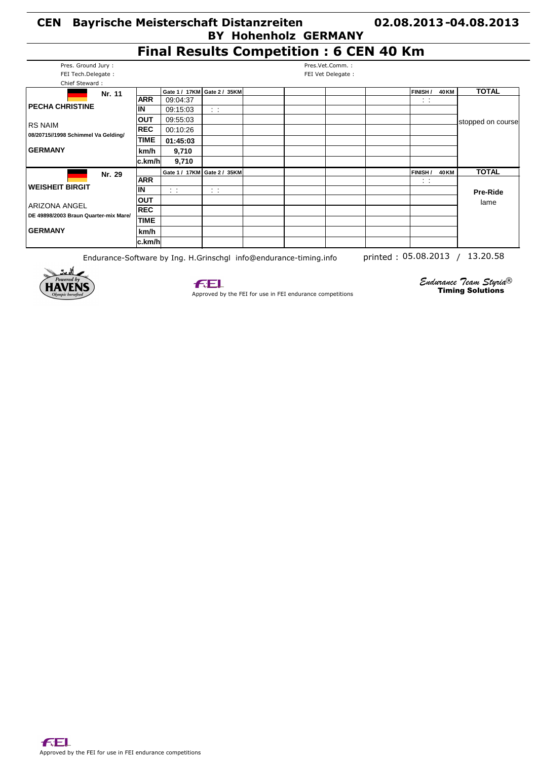# **Final Results Competition : 6 CEN 40 Km**

| Pres. Ground Jury:                             |             |                                   |                             |  | Pres.Vet.Comm.: |  |                               |              |                   |
|------------------------------------------------|-------------|-----------------------------------|-----------------------------|--|-----------------|--|-------------------------------|--------------|-------------------|
| FEI Tech.Delegate:                             |             | FEI Vet Delegate :                |                             |  |                 |  |                               |              |                   |
| Chief Steward:                                 |             |                                   |                             |  |                 |  |                               |              |                   |
| Nr. 11                                         |             | Gate 1 / 17KM                     | Gate 2 / 35KM               |  |                 |  | <b>FINISH</b> /               | 40 KM        | <b>TOTAL</b>      |
|                                                | <b>ARR</b>  | 09:04:37                          |                             |  |                 |  | $\mathcal{L}^{\mathcal{L}}$ . |              |                   |
| <b>PECHA CHRISTINE</b>                         | İΝ          | 09:15:03                          | $\sim 10$                   |  |                 |  |                               |              |                   |
|                                                | <b>OUT</b>  | 09:55:03                          |                             |  |                 |  |                               |              | stopped on course |
| RS NAIM<br>08/20715//1998 Schimmel Va Gelding/ | <b>REC</b>  | 00:10:26                          |                             |  |                 |  |                               |              |                   |
|                                                | <b>TIME</b> | 01:45:03                          |                             |  |                 |  |                               |              |                   |
| <b>GERMANY</b>                                 | km/h        | 9,710                             |                             |  |                 |  |                               |              |                   |
|                                                | c.km/hl     | 9,710                             |                             |  |                 |  |                               |              |                   |
| Nr. 29                                         |             |                                   | Gate 1 / 17KM Gate 2 / 35KM |  |                 |  | <b>FINISH</b> /               | <b>40 KM</b> | <b>TOTAL</b>      |
|                                                | <b>ARR</b>  |                                   |                             |  |                 |  | $\mathcal{L}^{\mathcal{L}}$ . |              |                   |
| <b>WEISHEIT BIRGIT</b>                         | İΝ          | $\mathcal{L} \subset \mathcal{L}$ | $\sim$ 1                    |  |                 |  |                               |              | Pre-Ride          |
| <b>ARIZONA ANGEL</b>                           | ∣ουτ        |                                   |                             |  |                 |  |                               |              | lame              |
|                                                | <b>REC</b>  |                                   |                             |  |                 |  |                               |              |                   |
| DE 49898/2003 Braun Quarter-mix Mare/          | <b>TIME</b> |                                   |                             |  |                 |  |                               |              |                   |
| <b>GERMANY</b>                                 | km/h        |                                   |                             |  |                 |  |                               |              |                   |
|                                                | c.km/hl     |                                   |                             |  |                 |  |                               |              |                   |

Endurance-Software by Ing. H.Grinschgl info@endurance-timing.info printed : 05.08.2013 / 13.20.58





Approved by the FEI for use in FEI endurance competitions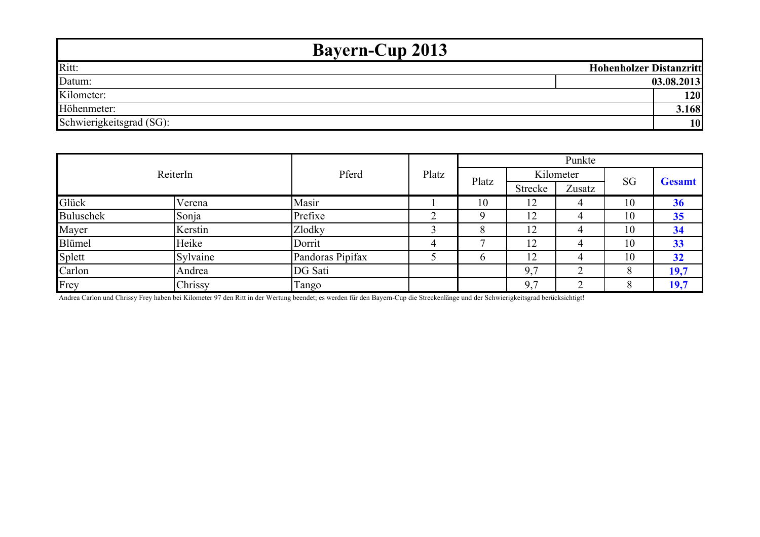|                          | <b>Bayern-Cup 2013</b>         |
|--------------------------|--------------------------------|
| Ritt:                    | <b>Hohenholzer Distanzritt</b> |
| Datum:                   | 03.08.2013                     |
| Kilometer:               | 120                            |
| Höhenmeter:              | 3.168                          |
| Schwierigkeitsgrad (SG): | 10                             |

| ReiterIn      |          |                                                                                                                                                                                  |       | Punkte |                |        |    |               |  |
|---------------|----------|----------------------------------------------------------------------------------------------------------------------------------------------------------------------------------|-------|--------|----------------|--------|----|---------------|--|
|               |          | Pferd                                                                                                                                                                            | Platz |        | Kilometer      |        |    |               |  |
|               |          |                                                                                                                                                                                  |       | Platz  | Strecke        | Zusatz | SG | <b>Gesamt</b> |  |
| Glück         | Verena   | Masir                                                                                                                                                                            |       | 10     | 12             | 4      | 10 | 36            |  |
| Buluschek     | Sonja    | Prefixe                                                                                                                                                                          |       |        | $ 2\rangle$    | 4      | 10 | 35            |  |
| Mayer         | Kerstin  | Zlodky                                                                                                                                                                           |       |        | $\overline{2}$ | 4      | 10 | 34            |  |
| <b>Blümel</b> | Heike    | Dorrit                                                                                                                                                                           |       |        | $\overline{2}$ | 4      | 10 | 33            |  |
| Splett        | Sylvaine | Pandoras Pipifax                                                                                                                                                                 |       | b      | 12             | 4      | 10 | 32            |  |
| Carlon        | Andrea   | DG Sati                                                                                                                                                                          |       |        | 9,7            |        | 8  | 19,7          |  |
| Frey          | Chrissy  | Tango                                                                                                                                                                            |       |        | 9,7            |        | 8  | 19,7          |  |
|               |          | Andrea Carlon und Chrissy Frey haben bei Kilometer 97 den Ritt in der Wertung beendet; es werden für den Bayern-Cup die Streckenlänge und der Schwierigkeitsgrad berücksichtigt! |       |        |                |        |    |               |  |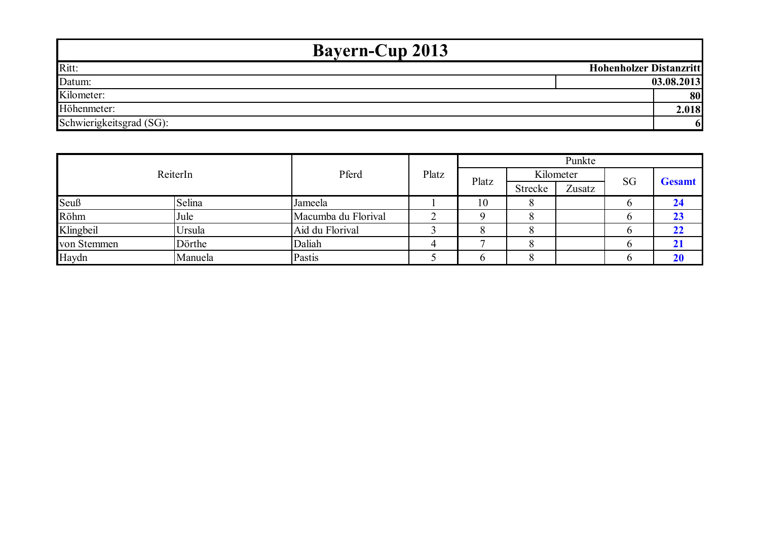| <b>Bayern-Cup 2013</b>   |                                |
|--------------------------|--------------------------------|
| Ritt:                    | <b>Hohenholzer Distanzritt</b> |
| Datum:                   | 03.08.2013                     |
| Kilometer:               | 80                             |
| Höhenmeter:              | 2.018                          |
| Schwierigkeitsgrad (SG): | 6                              |

| ReiterIn    |         | Pferd               |       | Punkte |           |        |           |                   |  |
|-------------|---------|---------------------|-------|--------|-----------|--------|-----------|-------------------|--|
|             |         |                     | Platz | Platz  | Kilometer |        | <b>SG</b> |                   |  |
|             |         |                     |       |        | Strecke   | Zusatz |           | <b>Gesamt</b>     |  |
| Seuß        | Selina  | Jameela             |       | 10     |           |        |           | 24                |  |
| Röhm        | Jule    | Macumba du Florival |       |        |           |        |           | 23                |  |
| Klingbeil   | Ursula  | Aid du Florival     |       |        |           |        |           | 22                |  |
| von Stemmen | Dörthe  | Daliah              |       |        |           |        |           |                   |  |
| Haydn       | Manuela | Pastis              |       |        |           |        |           | $\boldsymbol{20}$ |  |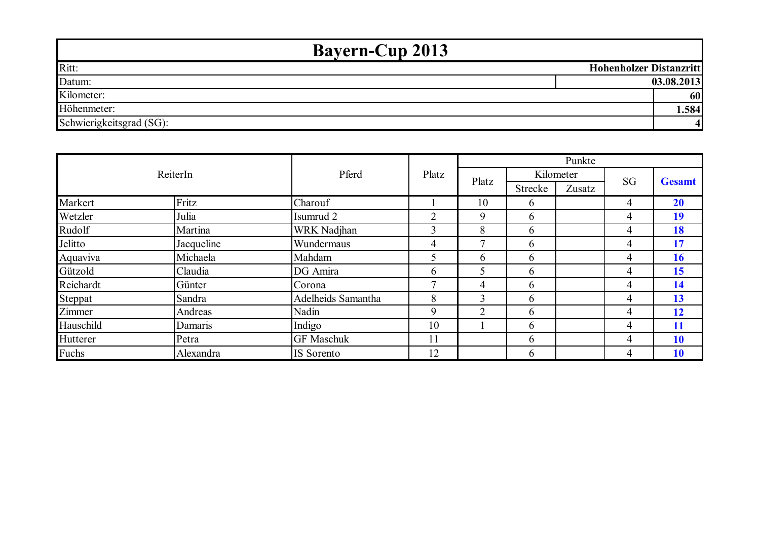| <b>Bayern-Cup 2013</b>   |                                |
|--------------------------|--------------------------------|
| Ritt:                    | <b>Hohenholzer Distanzritt</b> |
| Datum:                   | 03.08.2013                     |
| Kilometer:               | 60                             |
| Höhenmeter:              | 1.584                          |
| Schwierigkeitsgrad (SG): |                                |

|           |            |                    |                | Punkte         |           |        |    |               |
|-----------|------------|--------------------|----------------|----------------|-----------|--------|----|---------------|
| ReiterIn  |            | Pferd              | Platz          | Platz          | Kilometer |        | SG |               |
|           |            |                    |                |                | Strecke   | Zusatz |    | <b>Gesamt</b> |
| Markert   | Fritz      | Charouf            |                | 10             | 6         |        | 4  | 20            |
| Wetzler   | Julia      | Isumrud 2          | $\overline{2}$ | 9              | 6         |        | 4  | 19            |
| Rudolf    | Martina    | <b>WRK</b> Nadjhan | 3              | 8              | 6         |        | 4  | 18            |
| Jelitto   | Jacqueline | Wundermaus         | 4              | ┑              | 6         |        | 4  | 17            |
| Aquaviva  | Michaela   | Mahdam             | 5              | $\mathfrak b$  | 6         |        | 4  | <b>16</b>     |
| Gützold   | Claudia    | DG Amira           | 6              |                | 6         |        | 4  | 15            |
| Reichardt | Günter     | Corona             | $\mathbf{r}$   | 4              | 6         |        | 4  | 14            |
| Steppat   | Sandra     | Adelheids Samantha | 8              | 3              | $\sigma$  |        | 4  | 13            |
| Zimmer    | Andreas    | Nadin              | 9              | $\overline{2}$ | 6.        |        | 4  | 12            |
| Hauschild | Damaris    | Indigo             | 10             |                | 6         |        | 4  | 11            |
| Hutterer  | Petra      | <b>GF Maschuk</b>  | 11             |                | 6         |        | 4  | <b>10</b>     |
| Fuchs     | Alexandra  | IS Sorento         | 12             |                | 6         |        | 4  | 10            |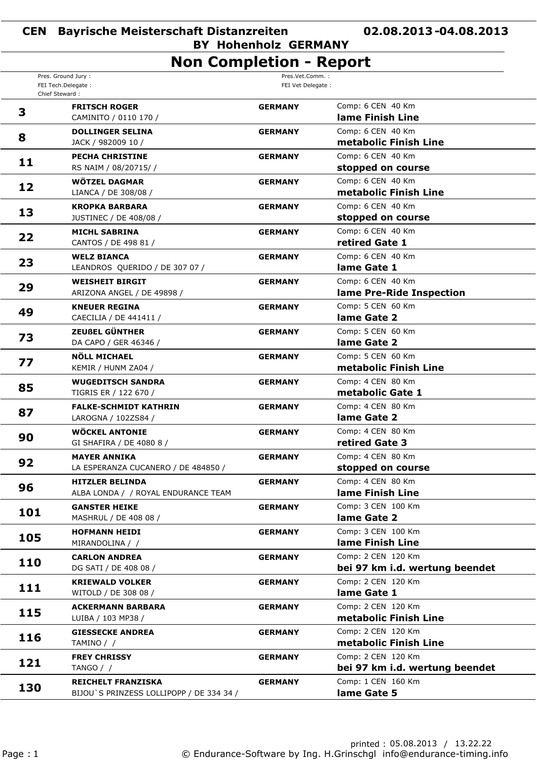### **CEN Bayrische Meisterschaft Distanzreiten BY Hohenholz GERMANY**

Pres. Ground Jury : FEI Tech.Delegate : Chief Steward :

|              | <b>Non Completion - Report</b>       |                   |
|--------------|--------------------------------------|-------------------|
|              | Pres.Vet.Comm.:<br>FEI Vet Delegate: |                   |
| <b>LOGER</b> | <b>GERMANY</b>                       | Comp: 6 CEN 40 Km |

| 3          | <b>FRITSCH ROGER</b>                                                  | <b>GERMANY</b> | Comp: 6 CEN 40 Km<br>lame Finish Line      |
|------------|-----------------------------------------------------------------------|----------------|--------------------------------------------|
|            | CAMINITO / 0110 170 /                                                 |                |                                            |
| 8          | <b>DOLLINGER SELINA</b>                                               | <b>GERMANY</b> | Comp: 6 CEN 40 Km<br>metabolic Finish Line |
|            | JACK / 982009 10 /                                                    |                |                                            |
| 11         | <b>PECHA CHRISTINE</b>                                                | <b>GERMANY</b> | Comp: 6 CEN 40 Km                          |
|            | RS NAIM / 08/20715/ /                                                 |                | stopped on course                          |
| 12         | WÖTZEL DAGMAR                                                         | <b>GERMANY</b> | Comp: 6 CEN 40 Km                          |
|            | LIANCA / DE 308/08 /                                                  |                | metabolic Finish Line                      |
| 13         | <b>KROPKA BARBARA</b>                                                 | <b>GERMANY</b> | Comp: 6 CEN 40 Km                          |
|            | JUSTINEC / DE 408/08 /                                                |                | stopped on course                          |
| 22         | <b>MICHL SABRINA</b>                                                  | <b>GERMANY</b> | Comp: 6 CEN 40 Km<br>retired Gate 1        |
|            | CANTOS / DE 498 81 /                                                  |                |                                            |
| 23         | <b>WELZ BIANCA</b>                                                    | <b>GERMANY</b> | Comp: 6 CEN 40 Km<br>lame Gate 1           |
|            | LEANDROS QUERIDO / DE 307 07 /                                        |                |                                            |
| 29         | <b>WEISHEIT BIRGIT</b>                                                | <b>GERMANY</b> | Comp: 6 CEN 40 Km                          |
|            | ARIZONA ANGEL / DE 49898 /                                            |                | lame Pre-Ride Inspection                   |
| 49         | <b>KNEUER REGINA</b>                                                  | <b>GERMANY</b> | Comp: 5 CEN 60 Km                          |
|            | CAECILIA / DE 441411 /                                                |                | lame Gate 2                                |
| 73         | <b>ZEUßEL GÜNTHER</b>                                                 | <b>GERMANY</b> | Comp: 5 CEN 60 Km                          |
|            | DA CAPO / GER 46346 /                                                 |                | lame Gate 2                                |
| 77         | <b>NÖLL MICHAEL</b>                                                   | <b>GERMANY</b> | Comp: 5 CEN 60 Km                          |
|            | KEMIR / HUNM ZA04 /                                                   |                | metabolic Finish Line                      |
| 85         | <b>WUGEDITSCH SANDRA</b>                                              | <b>GERMANY</b> | Comp: 4 CEN 80 Km                          |
|            | TIGRIS ER / 122 670 /                                                 |                | metabolic Gate 1                           |
| 87         | <b>FALKE-SCHMIDT KATHRIN</b>                                          | <b>GERMANY</b> | Comp: 4 CEN 80 Km                          |
|            | LAROGNA / 102ZS84 /                                                   |                | lame Gate 2                                |
| 90         | <b>WÖCKEL ANTONIE</b>                                                 | <b>GERMANY</b> | Comp: 4 CEN 80 Km                          |
|            | GI SHAFIRA / DE 4080 8 /                                              |                | retired Gate 3                             |
| 92         | <b>MAYER ANNIKA</b>                                                   | <b>GERMANY</b> | Comp: 4 CEN 80 Km                          |
|            | LA ESPERANZA CUCANERO / DE 484850 /                                   |                | stopped on course                          |
| 96         | <b>HITZLER BELINDA</b>                                                | <b>GERMANY</b> | Comp: 4 CEN 80 Km                          |
|            | ALBA LONDA / / ROYAL ENDURANCE TEAM                                   |                | lame Finish Line                           |
| 101        | <b>GANSTER HEIKE</b>                                                  | <b>GERMANY</b> | Comp: 3 CEN 100 Km                         |
|            | MASHRUL / DE 408 08 /                                                 |                | lame Gate 2                                |
| 105        | <b>HOFMANN HEIDI</b>                                                  | <b>GERMANY</b> | Comp: 3 CEN 100 Km                         |
|            | MIRANDOLINA / /                                                       |                | lame Finish Line                           |
| <b>110</b> | <b>CARLON ANDREA</b>                                                  | <b>GERMANY</b> | Comp: 2 CEN 120 Km                         |
|            | DG SATI / DE 408 08 /                                                 |                | bei 97 km i.d. wertung beendet             |
| 111        | <b>KRIEWALD VOLKER</b>                                                | <b>GERMANY</b> | Comp: 2 CEN 120 Km                         |
|            |                                                                       |                |                                            |
|            | WITOLD / DE 308 08 /                                                  |                | lame Gate 1                                |
|            | <b>ACKERMANN BARBARA</b>                                              | <b>GERMANY</b> | Comp: 2 CEN 120 Km                         |
| 115        | LUIBA / 103 MP38 /                                                    |                | metabolic Finish Line                      |
|            | <b>GIESSECKE ANDREA</b>                                               | <b>GERMANY</b> | Comp: 2 CEN 120 Km                         |
| 116        | TAMINO / /                                                            |                | metabolic Finish Line                      |
|            | <b>FREY CHRISSY</b>                                                   | <b>GERMANY</b> | Comp: 2 CEN 120 Km                         |
| 121        | TANGO / /                                                             |                | bei 97 km i.d. wertung beendet             |
| 130        | <b>REICHELT FRANZISKA</b><br>BIJOU'S PRINZESS LOLLIPOPP / DE 334 34 / | <b>GERMANY</b> | Comp: 1 CEN 160 Km<br>lame Gate 5          |

-